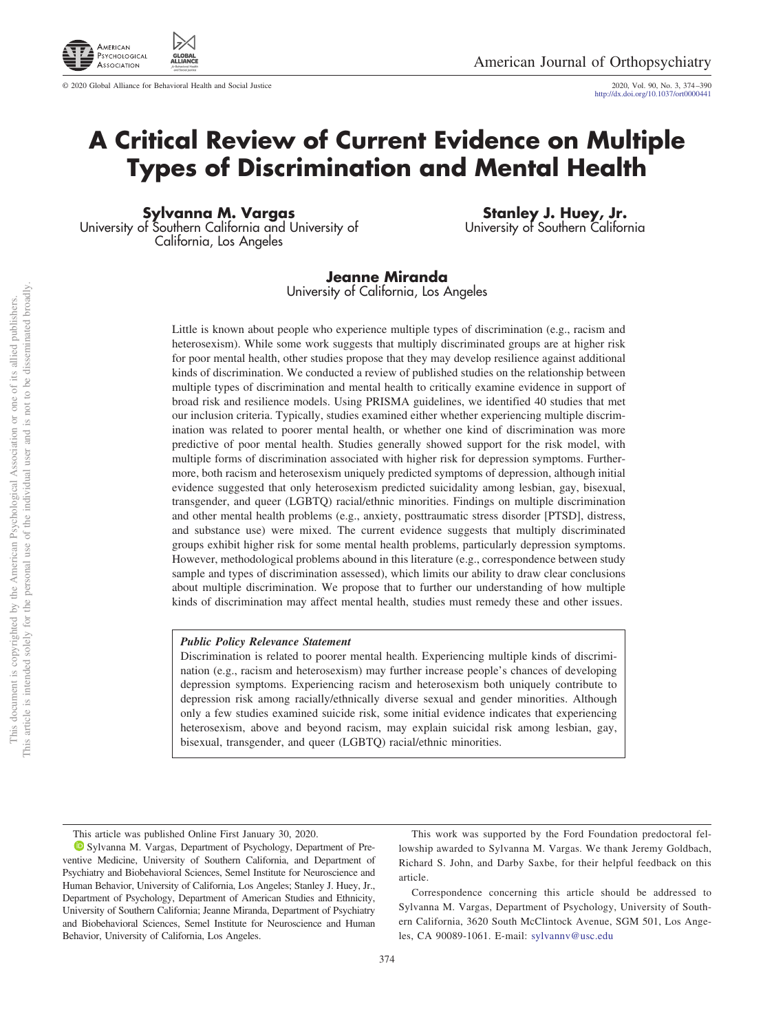

 $© 2020 Global Alliance for Behavioral Health and Social Justice$ 

http://dx.doi.org/10.1037/ort0000441

## **A Critical Review of Current Evidence on Multiple Types of Discrimination and Mental Health**

**Sylvanna M. Vargas** University of Southern California and University of California, Los Angeles

**Stanley J. Huey, Jr.** University of Southern California

**Jeanne Miranda** University of California, Los Angeles

Little is known about people who experience multiple types of discrimination (e.g., racism and heterosexism). While some work suggests that multiply discriminated groups are at higher risk for poor mental health, other studies propose that they may develop resilience against additional kinds of discrimination. We conducted a review of published studies on the relationship between multiple types of discrimination and mental health to critically examine evidence in support of broad risk and resilience models. Using PRISMA guidelines, we identified 40 studies that met our inclusion criteria. Typically, studies examined either whether experiencing multiple discrimination was related to poorer mental health, or whether one kind of discrimination was more predictive of poor mental health. Studies generally showed support for the risk model, with multiple forms of discrimination associated with higher risk for depression symptoms. Furthermore, both racism and heterosexism uniquely predicted symptoms of depression, although initial evidence suggested that only heterosexism predicted suicidality among lesbian, gay, bisexual, transgender, and queer (LGBTQ) racial/ethnic minorities. Findings on multiple discrimination and other mental health problems (e.g., anxiety, posttraumatic stress disorder [PTSD], distress, and substance use) were mixed. The current evidence suggests that multiply discriminated groups exhibit higher risk for some mental health problems, particularly depression symptoms. However, methodological problems abound in this literature (e.g., correspondence between study sample and types of discrimination assessed), which limits our ability to draw clear conclusions about multiple discrimination. We propose that to further our understanding of how multiple kinds of discrimination may affect mental health, studies must remedy these and other issues.

### *Public Policy Relevance Statement*

Discrimination is related to poorer mental health. Experiencing multiple kinds of discrimination (e.g., racism and heterosexism) may further increase people's chances of developing depression symptoms. Experiencing racism and heterosexism both uniquely contribute to depression risk among racially/ethnically diverse sexual and gender minorities. Although only a few studies examined suicide risk, some initial evidence indicates that experiencing heterosexism, above and beyond racism, may explain suicidal risk among lesbian, gay, bisexual, transgender, and queer (LGBTQ) racial/ethnic minorities.

This article was published Online First January 30, 2020.

Sylvanna M. Vargas, Department of Psychology, Department of Preventive Medicine, University of Southern California, and Department of Psychiatry and Biobehavioral Sciences, Semel Institute for Neuroscience and Human Behavior, University of California, Los Angeles; Stanley J. Huey, Jr., Department of Psychology, Department of American Studies and Ethnicity, University of Southern California; Jeanne Miranda, Department of Psychiatry and Biobehavioral Sciences, Semel Institute for Neuroscience and Human Behavior, University of California, Los Angeles.

This work was supported by the Ford Foundation predoctoral fellowship awarded to Sylvanna M. Vargas. We thank Jeremy Goldbach, Richard S. John, and Darby Saxbe, for their helpful feedback on this article.

Correspondence concerning this article should be addressed to Sylvanna M. Vargas, Department of Psychology, University of Southern California, 3620 South McClintock Avenue, SGM 501, Los Angeles, CA 90089-1061. E-mail: sylvannv@usc.edu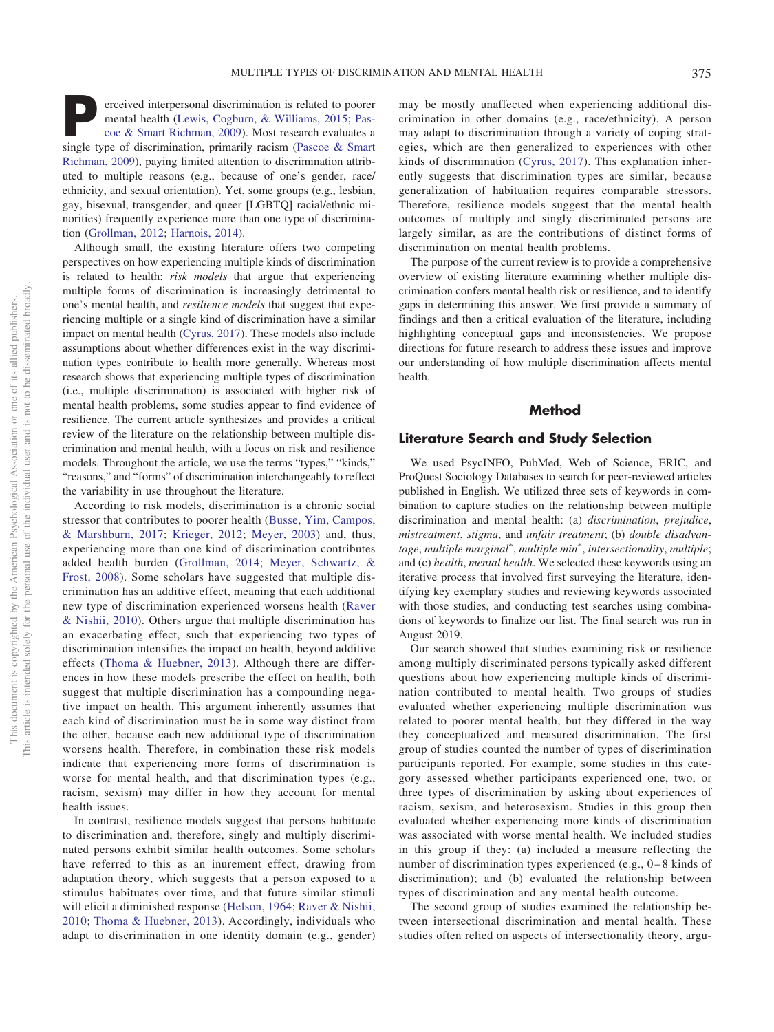**P**erceived interpersonal discrimination is related to poorer mental health [\(Lewis, Cogburn, & Williams, 2015;](#page-15-0) [Pas](#page-15-1)[coe & Smart Richman, 2009\)](#page-15-1). Most research evaluates a single type of discrimination, primarily racism [\(Pascoe & Smart](#page-15-1) [Richman, 2009\)](#page-15-1), paying limited attention to discrimination attributed to multiple reasons (e.g., because of one's gender, race/ ethnicity, and sexual orientation). Yet, some groups (e.g., lesbian, gay, bisexual, transgender, and queer [LGBTQ] racial/ethnic minorities) frequently experience more than one type of discrimination [\(Grollman, 2012;](#page-15-2) [Harnois, 2014\)](#page-15-3).

Although small, the existing literature offers two competing perspectives on how experiencing multiple kinds of discrimination is related to health: *risk models* that argue that experiencing multiple forms of discrimination is increasingly detrimental to one's mental health, and *resilience models* that suggest that experiencing multiple or a single kind of discrimination have a similar impact on mental health [\(Cyrus, 2017\)](#page-14-0). These models also include assumptions about whether differences exist in the way discrimination types contribute to health more generally. Whereas most research shows that experiencing multiple types of discrimination (i.e., multiple discrimination) is associated with higher risk of mental health problems, some studies appear to find evidence of resilience. The current article synthesizes and provides a critical review of the literature on the relationship between multiple discrimination and mental health, with a focus on risk and resilience models. Throughout the article, we use the terms "types," "kinds," "reasons," and "forms" of discrimination interchangeably to reflect the variability in use throughout the literature.

According to risk models, discrimination is a chronic social stressor that contributes to poorer health [\(Busse, Yim, Campos,](#page-14-1) [& Marshburn, 2017;](#page-14-1) [Krieger, 2012;](#page-15-4) [Meyer, 2003\)](#page-15-5) and, thus, experiencing more than one kind of discrimination contributes added health burden [\(Grollman, 2014;](#page-15-6) [Meyer, Schwartz, &](#page-15-7) [Frost, 2008\)](#page-15-7). Some scholars have suggested that multiple discrimination has an additive effect, meaning that each additional new type of discrimination experienced worsens health [\(Raver](#page-16-0) [& Nishii, 2010\)](#page-16-0). Others argue that multiple discrimination has an exacerbating effect, such that experiencing two types of discrimination intensifies the impact on health, beyond additive effects [\(Thoma & Huebner, 2013\)](#page-16-1). Although there are differences in how these models prescribe the effect on health, both suggest that multiple discrimination has a compounding negative impact on health. This argument inherently assumes that each kind of discrimination must be in some way distinct from the other, because each new additional type of discrimination worsens health. Therefore, in combination these risk models indicate that experiencing more forms of discrimination is worse for mental health, and that discrimination types (e.g., racism, sexism) may differ in how they account for mental health issues.

In contrast, resilience models suggest that persons habituate to discrimination and, therefore, singly and multiply discriminated persons exhibit similar health outcomes. Some scholars have referred to this as an inurement effect, drawing from adaptation theory, which suggests that a person exposed to a stimulus habituates over time, and that future similar stimuli will elicit a diminished response [\(Helson, 1964;](#page-15-8) [Raver & Nishii,](#page-16-0) [2010;](#page-16-0) [Thoma & Huebner, 2013\)](#page-16-1). Accordingly, individuals who adapt to discrimination in one identity domain (e.g., gender)

may be mostly unaffected when experiencing additional discrimination in other domains (e.g., race/ethnicity). A person may adapt to discrimination through a variety of coping strategies, which are then generalized to experiences with other kinds of discrimination [\(Cyrus, 2017\)](#page-14-0). This explanation inherently suggests that discrimination types are similar, because generalization of habituation requires comparable stressors. Therefore, resilience models suggest that the mental health outcomes of multiply and singly discriminated persons are largely similar, as are the contributions of distinct forms of discrimination on mental health problems.

The purpose of the current review is to provide a comprehensive overview of existing literature examining whether multiple discrimination confers mental health risk or resilience, and to identify gaps in determining this answer. We first provide a summary of findings and then a critical evaluation of the literature, including highlighting conceptual gaps and inconsistencies. We propose directions for future research to address these issues and improve our understanding of how multiple discrimination affects mental health.

## **Method**

## **Literature Search and Study Selection**

We used PsycINFO, PubMed, Web of Science, ERIC, and ProQuest Sociology Databases to search for peer-reviewed articles published in English. We utilized three sets of keywords in combination to capture studies on the relationship between multiple discrimination and mental health: (a) *discrimination*, *prejudice*, *mistreatment*, *stigma*, and *unfair treatment*; (b) *double disadvan*tage, multiple marginal<sup>\*</sup>, multiple min<sup>\*</sup>, intersectionality, multiple; and (c) *health*, *mental health*. We selected these keywords using an iterative process that involved first surveying the literature, identifying key exemplary studies and reviewing keywords associated with those studies, and conducting test searches using combinations of keywords to finalize our list. The final search was run in August 2019.

Our search showed that studies examining risk or resilience among multiply discriminated persons typically asked different questions about how experiencing multiple kinds of discrimination contributed to mental health. Two groups of studies evaluated whether experiencing multiple discrimination was related to poorer mental health, but they differed in the way they conceptualized and measured discrimination. The first group of studies counted the number of types of discrimination participants reported. For example, some studies in this category assessed whether participants experienced one, two, or three types of discrimination by asking about experiences of racism, sexism, and heterosexism. Studies in this group then evaluated whether experiencing more kinds of discrimination was associated with worse mental health. We included studies in this group if they: (a) included a measure reflecting the number of discrimination types experienced (e.g., 0–8 kinds of discrimination); and (b) evaluated the relationship between types of discrimination and any mental health outcome.

The second group of studies examined the relationship between intersectional discrimination and mental health. These studies often relied on aspects of intersectionality theory, argu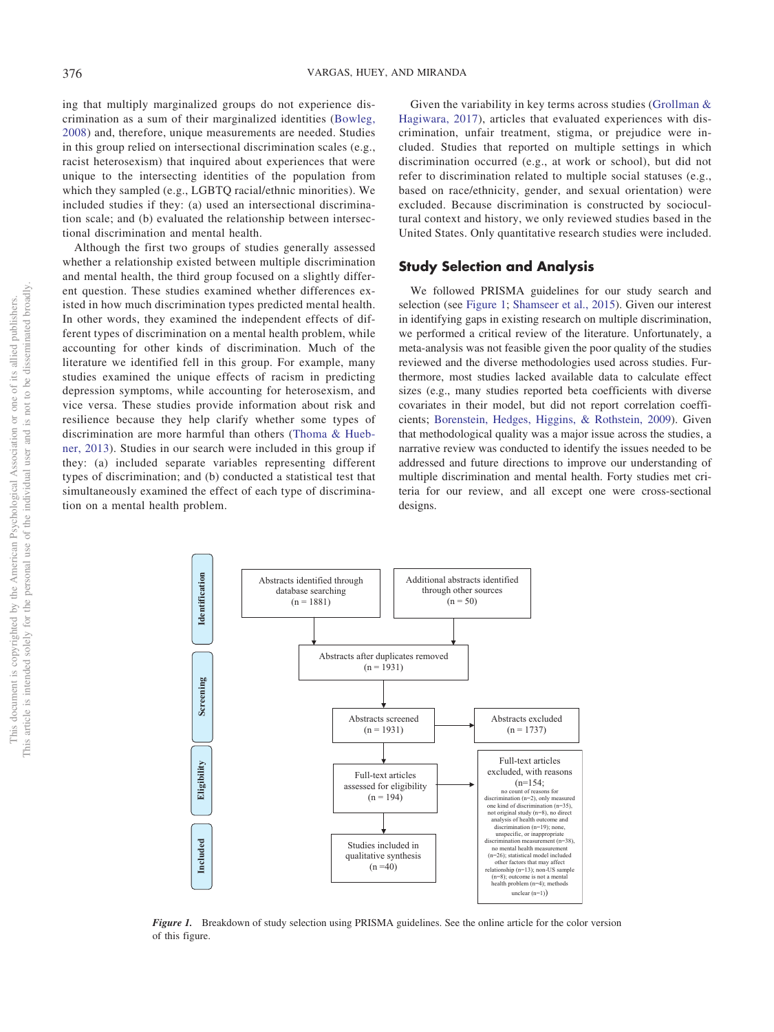ing that multiply marginalized groups do not experience discrimination as a sum of their marginalized identities [\(Bowleg,](#page-14-2) [2008\)](#page-14-2) and, therefore, unique measurements are needed. Studies in this group relied on intersectional discrimination scales (e.g., racist heterosexism) that inquired about experiences that were unique to the intersecting identities of the population from which they sampled (e.g., LGBTQ racial/ethnic minorities). We included studies if they: (a) used an intersectional discrimination scale; and (b) evaluated the relationship between intersectional discrimination and mental health.

Although the first two groups of studies generally assessed whether a relationship existed between multiple discrimination and mental health, the third group focused on a slightly different question. These studies examined whether differences existed in how much discrimination types predicted mental health. In other words, they examined the independent effects of different types of discrimination on a mental health problem, while accounting for other kinds of discrimination. Much of the literature we identified fell in this group. For example, many studies examined the unique effects of racism in predicting depression symptoms, while accounting for heterosexism, and vice versa. These studies provide information about risk and resilience because they help clarify whether some types of discrimination are more harmful than others [\(Thoma & Hueb](#page-16-1)[ner, 2013\)](#page-16-1). Studies in our search were included in this group if they: (a) included separate variables representing different types of discrimination; and (b) conducted a statistical test that simultaneously examined the effect of each type of discrimination on a mental health problem.

Given the variability in key terms across studies [\(Grollman &](#page-15-9) [Hagiwara, 2017\)](#page-15-9), articles that evaluated experiences with discrimination, unfair treatment, stigma, or prejudice were included. Studies that reported on multiple settings in which discrimination occurred (e.g., at work or school), but did not refer to discrimination related to multiple social statuses (e.g., based on race/ethnicity, gender, and sexual orientation) were excluded. Because discrimination is constructed by sociocultural context and history, we only reviewed studies based in the United States. Only quantitative research studies were included.

## **Study Selection and Analysis**

We followed PRISMA guidelines for our study search and selection (see [Figure 1;](#page-2-0) [Shamseer et al., 2015\)](#page-16-2). Given our interest in identifying gaps in existing research on multiple discrimination, we performed a critical review of the literature. Unfortunately, a meta-analysis was not feasible given the poor quality of the studies reviewed and the diverse methodologies used across studies. Furthermore, most studies lacked available data to calculate effect sizes (e.g., many studies reported beta coefficients with diverse covariates in their model, but did not report correlation coefficients; [Borenstein, Hedges, Higgins, & Rothstein, 2009\)](#page-14-3). Given that methodological quality was a major issue across the studies, a narrative review was conducted to identify the issues needed to be addressed and future directions to improve our understanding of multiple discrimination and mental health. Forty studies met criteria for our review, and all except one were cross-sectional designs.



<span id="page-2-0"></span>*Figure 1.* Breakdown of study selection using PRISMA guidelines. See the online article for the color version of this figure.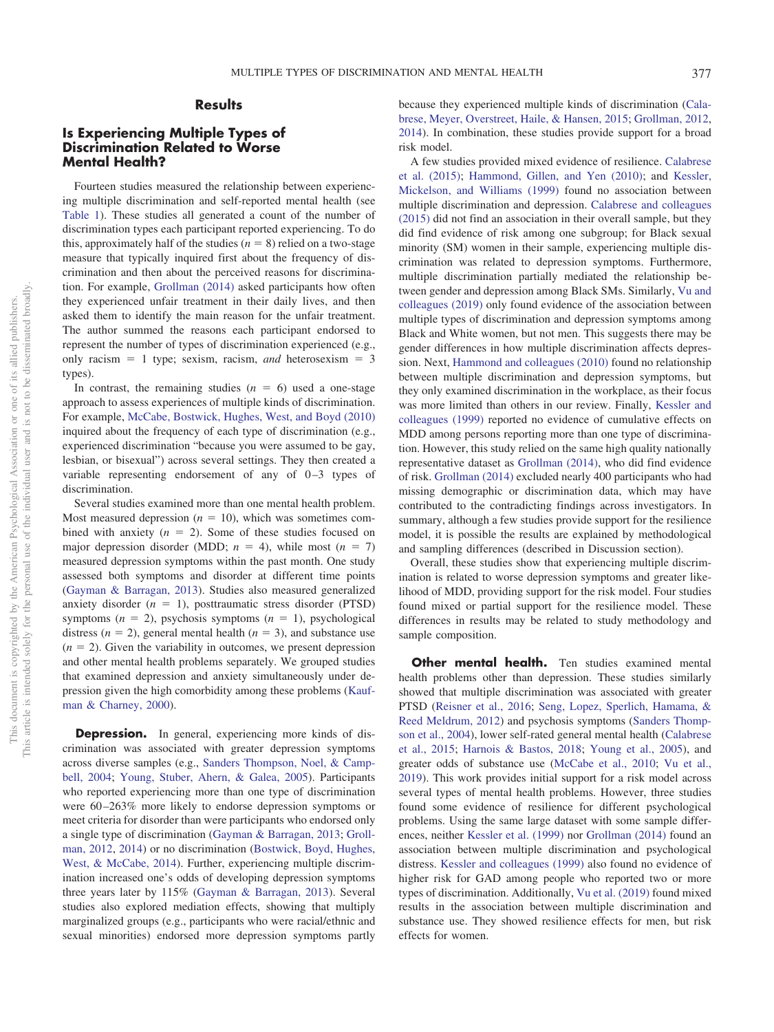## **Results**

## **Is Experiencing Multiple Types of Discrimination Related to Worse Mental Health?**

Fourteen studies measured the relationship between experiencing multiple discrimination and self-reported mental health (see [Table 1\)](#page-4-0). These studies all generated a count of the number of discrimination types each participant reported experiencing. To do this, approximately half of the studies  $(n = 8)$  relied on a two-stage measure that typically inquired first about the frequency of discrimination and then about the perceived reasons for discrimination. For example, [Grollman \(2014\)](#page-15-6) asked participants how often they experienced unfair treatment in their daily lives, and then asked them to identify the main reason for the unfair treatment. The author summed the reasons each participant endorsed to represent the number of types of discrimination experienced (e.g., only racism  $= 1$  type; sexism, racism, *and* heterosexism  $= 3$ types).

In contrast, the remaining studies  $(n = 6)$  used a one-stage approach to assess experiences of multiple kinds of discrimination. For example, [McCabe, Bostwick, Hughes, West, and Boyd \(2010\)](#page-15-10) inquired about the frequency of each type of discrimination (e.g., experienced discrimination "because you were assumed to be gay, lesbian, or bisexual") across several settings. They then created a variable representing endorsement of any of  $0-3$  types of discrimination.

Several studies examined more than one mental health problem. Most measured depression  $(n = 10)$ , which was sometimes combined with anxiety  $(n = 2)$ . Some of these studies focused on major depression disorder (MDD;  $n = 4$ ), while most ( $n = 7$ ) measured depression symptoms within the past month. One study assessed both symptoms and disorder at different time points [\(Gayman & Barragan, 2013\)](#page-15-11). Studies also measured generalized anxiety disorder  $(n = 1)$ , posttraumatic stress disorder (PTSD) symptoms  $(n = 2)$ , psychosis symptoms  $(n = 1)$ , psychological distress  $(n = 2)$ , general mental health  $(n = 3)$ , and substance use  $(n = 2)$ . Given the variability in outcomes, we present depression and other mental health problems separately. We grouped studies that examined depression and anxiety simultaneously under depression given the high comorbidity among these problems [\(Kauf](#page-15-12)[man & Charney, 2000\)](#page-15-12).

**Depression.** In general, experiencing more kinds of discrimination was associated with greater depression symptoms across diverse samples (e.g., [Sanders Thompson, Noel, & Camp](#page-16-3)[bell, 2004;](#page-16-3) [Young, Stuber, Ahern, & Galea, 2005\)](#page-16-4). Participants who reported experiencing more than one type of discrimination were 60-263% more likely to endorse depression symptoms or meet criteria for disorder than were participants who endorsed only a single type of discrimination [\(Gayman & Barragan, 2013;](#page-15-11) [Groll](#page-15-2)[man, 2012,](#page-15-2) [2014\)](#page-15-6) or no discrimination [\(Bostwick, Boyd, Hughes,](#page-14-4) [West, & McCabe, 2014\)](#page-14-4). Further, experiencing multiple discrimination increased one's odds of developing depression symptoms three years later by 115% [\(Gayman & Barragan, 2013\)](#page-15-11). Several studies also explored mediation effects, showing that multiply marginalized groups (e.g., participants who were racial/ethnic and sexual minorities) endorsed more depression symptoms partly because they experienced multiple kinds of discrimination [\(Cala](#page-14-5)[brese, Meyer, Overstreet, Haile, & Hansen, 2015;](#page-14-5) [Grollman, 2012,](#page-15-2) [2014\)](#page-15-6). In combination, these studies provide support for a broad risk model.

A few studies provided mixed evidence of resilience. [Calabrese](#page-14-5) [et al. \(2015\);](#page-14-5) [Hammond, Gillen, and Yen \(2010\);](#page-15-13) and [Kessler,](#page-15-14) [Mickelson, and Williams \(1999\)](#page-15-14) found no association between multiple discrimination and depression. [Calabrese and colleagues](#page-14-5) [\(2015\)](#page-14-5) did not find an association in their overall sample, but they did find evidence of risk among one subgroup; for Black sexual minority (SM) women in their sample, experiencing multiple discrimination was related to depression symptoms. Furthermore, multiple discrimination partially mediated the relationship between gender and depression among Black SMs. Similarly, [Vu and](#page-16-5) [colleagues \(2019\)](#page-16-5) only found evidence of the association between multiple types of discrimination and depression symptoms among Black and White women, but not men. This suggests there may be gender differences in how multiple discrimination affects depression. Next, [Hammond and colleagues \(2010\)](#page-15-13) found no relationship between multiple discrimination and depression symptoms, but they only examined discrimination in the workplace, as their focus was more limited than others in our review. Finally, [Kessler and](#page-15-14) [colleagues \(1999\)](#page-15-14) reported no evidence of cumulative effects on MDD among persons reporting more than one type of discrimination. However, this study relied on the same high quality nationally representative dataset as [Grollman \(2014\),](#page-15-6) who did find evidence of risk. [Grollman \(2014\)](#page-15-6) excluded nearly 400 participants who had missing demographic or discrimination data, which may have contributed to the contradicting findings across investigators. In summary, although a few studies provide support for the resilience model, it is possible the results are explained by methodological and sampling differences (described in Discussion section).

Overall, these studies show that experiencing multiple discrimination is related to worse depression symptoms and greater likelihood of MDD, providing support for the risk model. Four studies found mixed or partial support for the resilience model. These differences in results may be related to study methodology and sample composition.

**Other mental health.** Ten studies examined mental health problems other than depression. These studies similarly showed that multiple discrimination was associated with greater PTSD [\(Reisner et al., 2016;](#page-16-6) [Seng, Lopez, Sperlich, Hamama, &](#page-16-7) [Reed Meldrum, 2012\)](#page-16-7) and psychosis symptoms [\(Sanders Thomp](#page-16-3)[son et al., 2004\)](#page-16-3), lower self-rated general mental health [\(Calabrese](#page-14-5) [et al., 2015;](#page-14-5) [Harnois & Bastos, 2018;](#page-15-15) [Young et al., 2005\)](#page-16-4), and greater odds of substance use [\(McCabe et al., 2010;](#page-15-10) [Vu et al.,](#page-16-5) [2019\)](#page-16-5). This work provides initial support for a risk model across several types of mental health problems. However, three studies found some evidence of resilience for different psychological problems. Using the same large dataset with some sample differences, neither [Kessler et al. \(1999\)](#page-15-14) nor [Grollman \(2014\)](#page-15-6) found an association between multiple discrimination and psychological distress. [Kessler and colleagues \(1999\)](#page-15-14) also found no evidence of higher risk for GAD among people who reported two or more types of discrimination. Additionally, [Vu et al. \(2019\)](#page-16-5) found mixed results in the association between multiple discrimination and substance use. They showed resilience effects for men, but risk effects for women.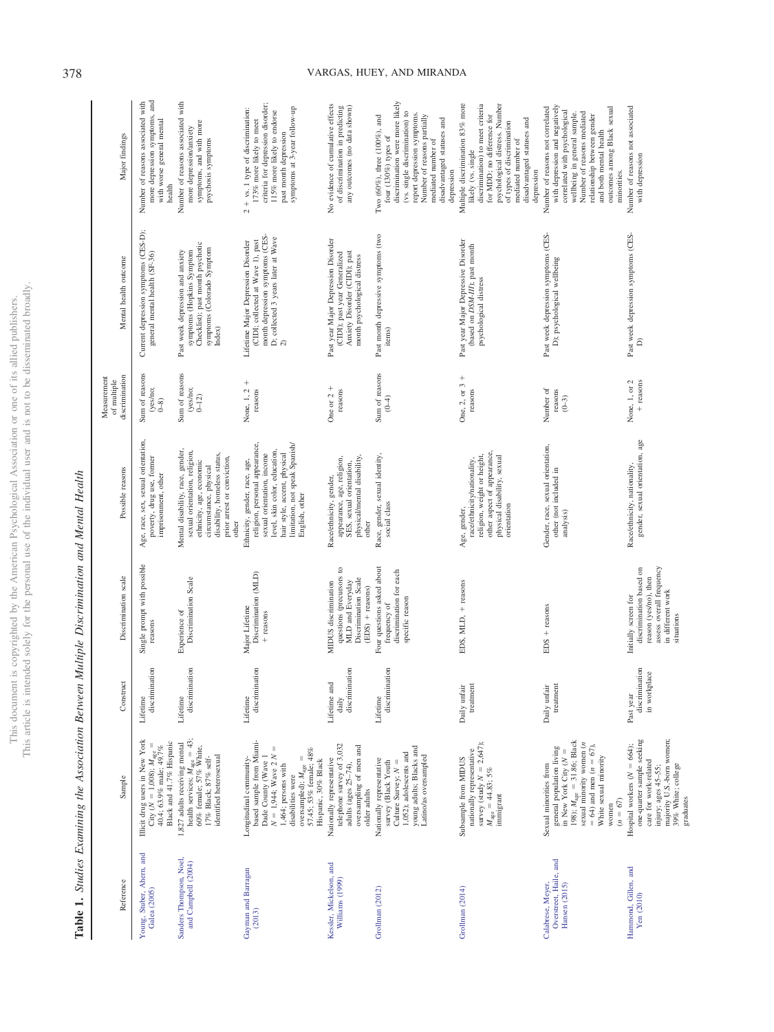This document is copyrighted by the American Psychological Association or one of its allied publishers.<br>This article is intended solely for the personal use of the individual user and is not to be disseminated broadly. This article is intended solely for the personal use of the individual user and is not to be disseminated broadly. This document is copyrighted by the American Psychological Association or one of its allied publishers.

| Reference                                                    | Sample                                                                                                                                                                                                                                               | Construc                                    | Discrimination scale                                                                                                                    | Possible reasons                                                                                                                                                                                                   | discrimination<br>Measurement<br>of multiple | Mental health outcome                                                                                                                                 | Major findings                                                                                                                                                                                                                                                           |
|--------------------------------------------------------------|------------------------------------------------------------------------------------------------------------------------------------------------------------------------------------------------------------------------------------------------------|---------------------------------------------|-----------------------------------------------------------------------------------------------------------------------------------------|--------------------------------------------------------------------------------------------------------------------------------------------------------------------------------------------------------------------|----------------------------------------------|-------------------------------------------------------------------------------------------------------------------------------------------------------|--------------------------------------------------------------------------------------------------------------------------------------------------------------------------------------------------------------------------------------------------------------------------|
| Young, Stuber, Ahern, and<br>Galea (2005)                    | Illicit drug users in New York<br>Black and 41.7% Hispanic<br>City ( $N = 1,008$ ); $M_{\text{age}} = 40.4$ ; 63.9% male; 49.7%                                                                                                                      | discrimination<br>Lifetime                  | Single prompt with possible<br>reasons                                                                                                  | Age, race, sex, sexual orientation,<br>poverty, drug use, former<br>imprisonment, other                                                                                                                            | Sum of reasons<br>(yes/no;<br>$0-8$          | Current depression symptoms (CES-D);<br>general mental health (SF-36)                                                                                 | more depression symptoms, and<br>with worse general mental<br>Number of reasons associated with<br>health                                                                                                                                                                |
| Sanders Thompson, Noel,<br>and Campbell (2004)               | health services; $M_{\text{age}} = 43$ ;<br>60% female; 57% White,<br>1,827 adults receiving mental<br>identified heterosexual<br>$17\%$ Black; $87\%$ self-                                                                                         | discrimination<br>Lifetime                  | Discrimination Scale<br>Experience of                                                                                                   | Mental disability, race, gender,<br>sexual orientation, religion,<br>disability, homeless status,<br>prior arrest or conviction,<br>ethnicity, age, economic<br>circumstance, physical<br>other                    | Sum of reasons<br>(yes/no;<br>$0 - 12$       | Checklist); past month psychotic<br>symptoms (Colorado Symptom<br>Index)<br>symptoms (Hopkins Symptom<br>Past week depression and anxiety             | Number of reasons associated with<br>symptoms, and with more<br>more depression/anxiety<br>psychosis symptoms                                                                                                                                                            |
| Gayman and Barragan<br>(2013)                                | based sample from Miami-<br>$\mid \mid$<br>oversampled); $M_{\text{age}} =$<br>57.45; 53% female; 48%<br>$N=1.944;$ Wave 2 $\!$<br>Dade County (Wave 1<br>Longitudinal community-<br>Hispanic, 30% Black<br>1,464; persons with<br>disabilities were | discrimination<br>Lifetime                  | Discrimination (MLD)<br>Major Lifetime<br>+ reasons                                                                                     | limitation, not speak Spanish/<br>religion, personal appearance,<br>level, skin color, education,<br>sexual orientation, income<br>hair style, accent, physical<br>Ethnicity, gender, race, age,<br>English, other | $\! + \!\!\!\!$<br>None, 1, 2<br>reasons     | month depression symptoms (CES-<br>D; collected 3 years later at Wave $2)$<br>(CIDI; collected at Wave 1), past<br>Lifetime Major Depression Disorder | criteria for depression disorder;<br>$2 + vs. 1$ type of discrimination:<br>symptoms at 3-year follow-up<br>115% more likely to endorse<br>173% more likely to meet<br>past month depression                                                                             |
| Kessler, Mickelson, and<br>Williams (1999)                   | telephone survey of 3,032<br>oversampling of men and<br>Nationally representative<br>adults (ages $25-74$ ),<br>older adults                                                                                                                         | discrimination<br>Lifetime and<br>daily     | questions (precursors to<br>MLD and Everyday<br>Discrimination Scale<br>MIDUS discrimination<br>(EDS) + reasons)                        | physical/mental disability,<br>appearance, age, religion,<br>SES, sexual orientation,<br>Race/ethnicity, gender,<br>other                                                                                          | One or $2 +$<br>reasons                      | Past year Major Depression Disorder<br>(CIDI); past year Generalized<br>Anxiety Disorder (CIDI); past<br>month psychological distress                 | No evidence of cumulative effects<br>of discrimination in predicting<br>any outcomes (no data shown)                                                                                                                                                                     |
| Grollman (2012)                                              | young adults; Blacks and<br>1,052); adolescents and<br>Latino/as oversampled<br>Nationally representative<br>Culture Survey; $N =$<br>survey (Black Youth                                                                                            | discrimination<br>Lifetime                  | Four questions asked about<br>discrimination for each<br>specific reason<br>frequency of                                                | Race, gender, sexual identity<br>social class                                                                                                                                                                      | Sum of reasons<br>$(0-4)$                    | Past month depressive symptoms (two<br>items)                                                                                                         | discrimination were more likely<br>(vs. single discrimination) to<br>report depression symptoms.<br>Two (60%), three (100%), and<br>Number of reasons partially<br>disadvantaged statuses and<br>four $(130\%)$ types of<br>mediated number of<br>depression             |
| Grollman (2014)                                              | survey (study $N = 2,647$ );<br>nationally representative<br>Subsample from MIDUS<br>$M_{\rm age}$ = 44.83; 5%<br>immigrant                                                                                                                          | Daily unfair<br>treatment                   | EDS, MLD, + reasons                                                                                                                     | other aspect of appearance,<br>religion, weight or height,<br>physical disability, sexual<br>race/ethnicity/nationality,<br>orientation<br>Age, gender,                                                            | One, 2, or $3 +$<br>reasons                  | Past year Major Depressive Disorder<br>(based on DSM-III); past month<br>psychological distress                                                       | Multiple discrimination 83% more<br>psychological distress. Number<br>discrimination) to meet criteria<br>for MDD; no difference for<br>disadvantaged statuses and<br>of types of discrimination<br>mediated number of<br>likely (vs. single<br>depression               |
| Overstreet, Haile, and<br>Calabrese, Meyer,<br>Hansen (2015) | 198); $M_{\text{age}} = 31.86$ ; Black<br>sexual minority women ( <i>n</i><br>$= 64$ ) and men ( $n = 67$ ),<br>general population living<br>in New York City $(N \cdot$<br>White sexual minority<br>Sexual minorities from<br>$(n = 67)$<br>women   | treatment<br>Daily unfair                   | EDS + reasons                                                                                                                           | Gender, race, sexual orientation,<br>other (not included in<br>analysis)                                                                                                                                           | Number of<br>reasons<br>$(0-3)$              | Past week depression symptoms (CES-<br>D); psychological wellbeing                                                                                    | with depression and negatively<br>Number of reasons not correlated<br>outcomes among Black sexual<br>correlated with psychological<br>Number of reasons mediated<br>wellbeing in general sample.<br>relationship between gender<br>and both mental health<br>minorities. |
| Hammond, Gillen, and<br>Yen (2010)                           | majority U.S.-born women;<br>one-quarter sample seeking<br>Hospital workers $(N = 664)$ ;<br>care for work-related<br>39% White; college<br>injury; ages 45-55;<br>graduates                                                                         | discrimination<br>in workplace<br>Past year | assess overall frequency<br>discrimination based on<br>reason (yes/no), then<br>in different work<br>Initially screen for<br>situations | Race/ethnicity, nationality,<br>gender, sexual orientation, age                                                                                                                                                    | None, 1, or 2<br>+ reasons                   | Past week depression symptoms (CES-<br>$\widehat{\mathsf{d}}$                                                                                         | Number of reasons not associated<br>with depression                                                                                                                                                                                                                      |

## <span id="page-4-0"></span>Table 1. Studies Examining the Association Between Multiple Discrimination and Mental Health **Table 1.** Studies Examining the Association Between Multiple Discrimination and Mental Health

## 378 VARGAS, HUEY, AND MIRANDA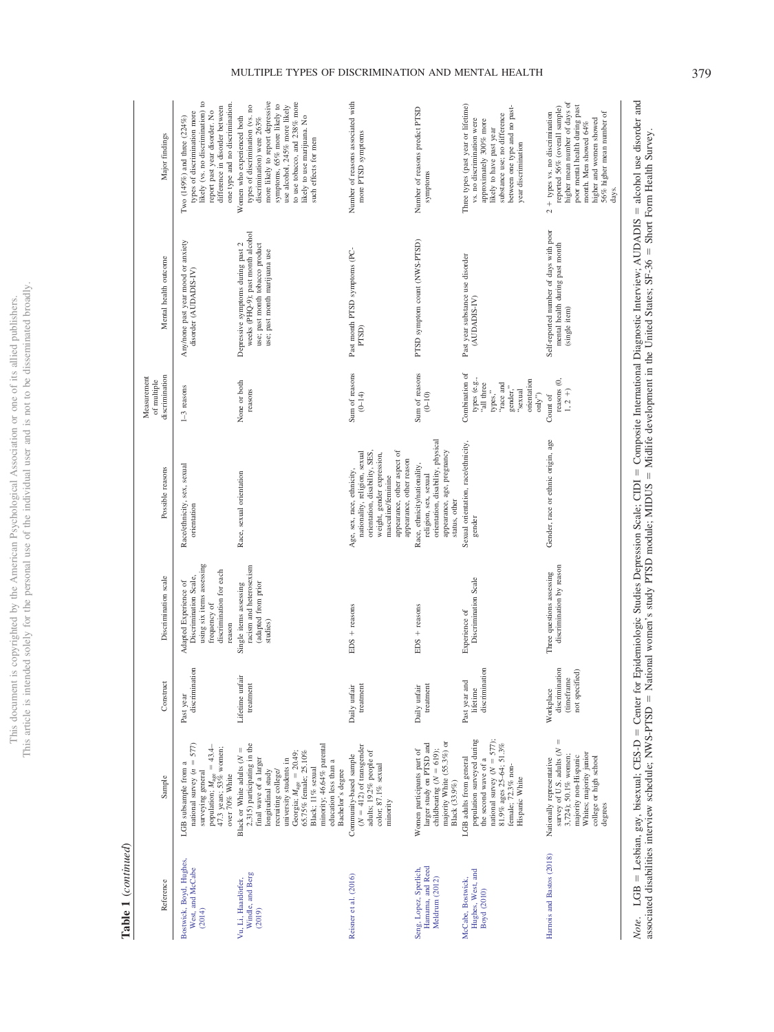This document is copyrighted by the American Psychological Association or one of its allied publishers.<br>This article is intended solely for the personal use of the individual user and is not to be disseminated broadly. This article is intended solely for the personal use of the individual user and is not to be disseminated broadly. This document is copyrighted by the American Psychological Association or one of its allied publishers.

## Table 1 (continued) **Table 1** (*continued*)

| Major findings                               | likely (vs. no discrimination) to<br>one type and no discrimination.<br>difference in disorder between<br>report past year disorder. No<br>types of discrimination more<br>Two (149%) and three (224%) | more likely to report depressive<br>to use to<br>bacco, and $238\%$ more<br>symptoms, 65% more likely to<br>use alcohol, 245% more likely<br>types of discrimination (vs. no<br>likely to use marijuana. No<br>Women who experienced both<br>discrimination) were 263%<br>such effects for men                               | Number of reasons associated with<br>more PTSD symptoms                                                                                                                                                    | Number of reasons predict PTSD<br>symptoms                                                                                                | Three types (past year or lifetime)<br>between one type and no past-<br>substance use; no difference<br>vs. no discrimination were<br>approximately 300% more<br>likely to have past year<br>year discrimination | higher mean number of days of<br>poor mental health during past<br>reported 56% (overall sample)<br>56% higher mean number of<br>$2 +$ types vs. no discrimination<br>higher and women showed<br>month. Men showed 64%<br>days. |
|----------------------------------------------|--------------------------------------------------------------------------------------------------------------------------------------------------------------------------------------------------------|------------------------------------------------------------------------------------------------------------------------------------------------------------------------------------------------------------------------------------------------------------------------------------------------------------------------------|------------------------------------------------------------------------------------------------------------------------------------------------------------------------------------------------------------|-------------------------------------------------------------------------------------------------------------------------------------------|------------------------------------------------------------------------------------------------------------------------------------------------------------------------------------------------------------------|---------------------------------------------------------------------------------------------------------------------------------------------------------------------------------------------------------------------------------|
| Mental health outcome                        | Any/none past year mood or anxiety<br>disorder (AUDADIS-IV)                                                                                                                                            | weeks (PHQ-9); past month alcohol<br>Depressive symptoms during past 2<br>use; past month tobacco product<br>use; past month marijuana use                                                                                                                                                                                   | Past month PTSD symptoms (PC-<br>PTSD)                                                                                                                                                                     | PTSD symptom count (NWS-PTSD)                                                                                                             | Past year substance use disorder<br>(AUDADIS-IV)                                                                                                                                                                 | Self-reported number of days with poor<br>mental health during past month<br>(single item)                                                                                                                                      |
| discrimination<br>Measurement<br>of multiple | $1-3$ reasons                                                                                                                                                                                          | None or both<br>reasons                                                                                                                                                                                                                                                                                                      | Sum of reasons<br>$(0-14)$                                                                                                                                                                                 | Sum of reasons<br>$(0-10)$                                                                                                                | Combination of<br>types (e.g.,<br>orientation<br>"all three<br>'race and<br>gender,"<br>types,"<br>"sexual<br>$\mathrm{only}^{\prime\prime})$                                                                    | reasons (0,<br>$1, 2 +)$<br>Count of                                                                                                                                                                                            |
| Possible reasons                             | Race/ethnicity, sex, sexual<br>orientation                                                                                                                                                             | Race, sexual orientation                                                                                                                                                                                                                                                                                                     | appearance, other aspect of<br>nationality, religion, sexual<br>orientation, disability, SES<br>weight, gender expression,<br>appearance, other reason<br>Age, sex, race, ethnicity,<br>masculine/feminine | orientation, disability, physical<br>appearance, age, pregnancy<br>Race, ethnicity/nationality,<br>religion, sex, sexual<br>status, other | Sexual orientation, race/ethnicity,<br>gender                                                                                                                                                                    | Gender, race or ethnic origin, age                                                                                                                                                                                              |
| Discrimination scale                         | using six items assessing<br>discrimination for each<br>Discrimination Scale,<br>Adapted Experience of<br>frequency of<br>reason                                                                       | racism and heterosexism<br>(adapted from prior<br>Single items assessing<br>studies)                                                                                                                                                                                                                                         | $EDS + reasons$                                                                                                                                                                                            | $EDS + reasons$                                                                                                                           | Discrimination Scale<br>Experience of                                                                                                                                                                            | discrimination by reason<br>Three questions assessing                                                                                                                                                                           |
| Construc                                     | discrimination<br>Past year                                                                                                                                                                            | Lifetime unfair<br>treatment                                                                                                                                                                                                                                                                                                 | Daily unfair<br>treatment                                                                                                                                                                                  | Daily unfair<br>treatment                                                                                                                 | discrimination<br>Past year and<br>lifetime                                                                                                                                                                      | discrimination<br>not specified)<br>(timeframe<br>Workplace                                                                                                                                                                     |
| Sample                                       | national survey $(n = 577)$<br>population; $M_{\text{age}} = 43.4-47.3$ years; 53% women;<br>LGB subsample from a<br>surveying general<br>over 70% White                                               | 2,315) participating in the<br>minority; 46.64% parental<br>Black or White adults $(N =$<br>65.75% female; 25.10%<br>Georgia; $M_{\text{age}} = 20.49$ ;<br>final wave of a larger<br>university students in<br>education less than a<br>Black; 11% sexual<br>Bachelor's degree<br>recruiting college/<br>longitudinal study | $(N = 412)$ of transgender<br>adults; 19.2% people of<br>Community-based sample<br>color; 87.1% sexual<br>minority                                                                                         | majority White (55.3%) or<br>larger study on PTSD and<br>Women participants part of<br>child<br>bearing ( $N = 619$ );<br>Black (33.9%)   | population surveyed during<br>national survey $(N = 577)$ ;<br>81.9% ages 25-64; 51.3%<br>the second wave of a<br>LGB adults from general<br>female; 72.3% non-<br>Hispanic White                                | $\mid \mid$<br>survey of U.S. adults (N<br>Whites; majority junior<br>3,724); 50.1% women;<br>majority non-Hispanic<br>college or high school<br>Nationally representative<br>degrees                                           |
| Reference                                    | Bostwick, Boyd, Hughes,<br>West, and McCabe<br>(2014)                                                                                                                                                  | Windle, and Berg<br>Vu, Li, Haardörfer,<br>(2019)                                                                                                                                                                                                                                                                            | Reisner et al. (2016)                                                                                                                                                                                      | Hamama, and Reed<br>Seng, Lopez, Sperlich,<br>Meldrum (2012)                                                                              | Hughes, West, and<br>McCabe, Bostwick,<br>Boyd (2010)                                                                                                                                                            | Harnois and Bastos (2018)                                                                                                                                                                                                       |

*Note*. LGB = Lesbian, gay, bisexual; CES-D = Center for Epidemiologic Studies Depression Scale; CIDI = Composite International Diagnostic Interview; AUDADIS = alcohol use disorder and associated disabilities interview sc alcohol use disorder and Short Form Health Survey. = Composite International Diagnostic Interview; AUDADIS =  $=$  Midlife development in the United States; SF-36  $=$  Center for Epidemiologic Studies Depression Scale; CIDI -= National women's study PTSD module; MIDUS = associated disabilities interview schedule; NWS-PTSD - $=$  Lesbian, gay, bisexual; CES-D  $=$  $Note.$  LGB  $=$ 

## MULTIPLE TYPES OF DISCRIMINATION AND MENTAL HEALTH 379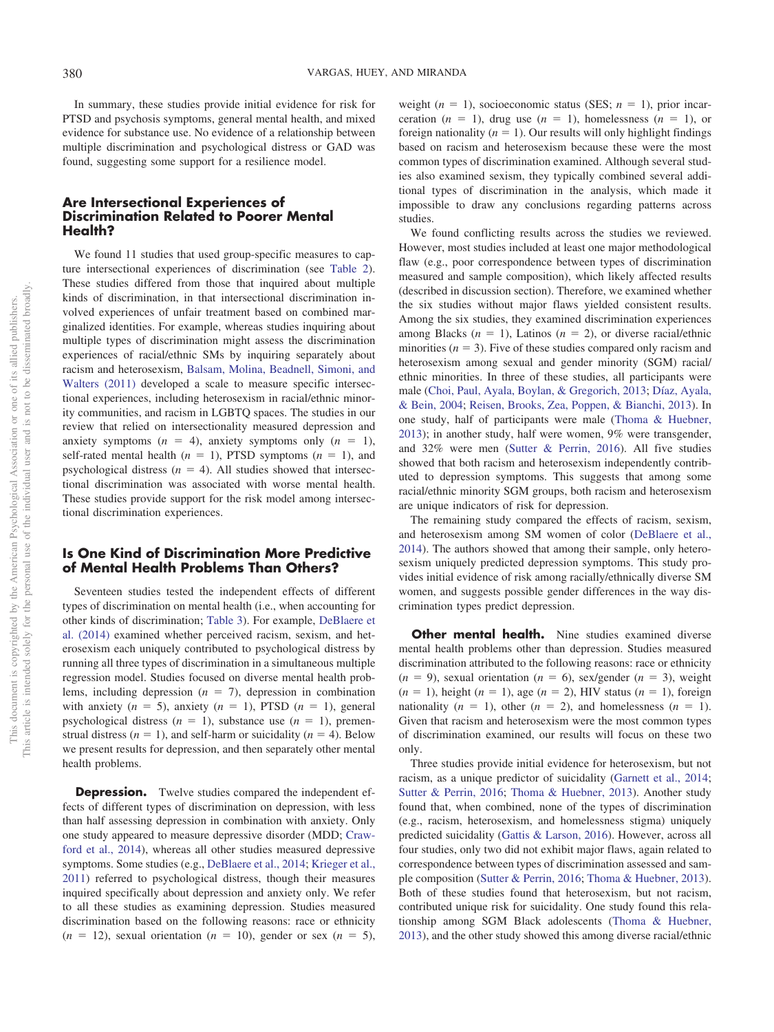In summary, these studies provide initial evidence for risk for PTSD and psychosis symptoms, general mental health, and mixed evidence for substance use. No evidence of a relationship between multiple discrimination and psychological distress or GAD was found, suggesting some support for a resilience model.

## **Are Intersectional Experiences of Discrimination Related to Poorer Mental Health?**

We found 11 studies that used group-specific measures to capture intersectional experiences of discrimination (see [Table 2\)](#page-7-0). These studies differed from those that inquired about multiple kinds of discrimination, in that intersectional discrimination involved experiences of unfair treatment based on combined marginalized identities. For example, whereas studies inquiring about multiple types of discrimination might assess the discrimination experiences of racial/ethnic SMs by inquiring separately about racism and heterosexism, [Balsam, Molina, Beadnell, Simoni, and](#page-14-6) [Walters \(2011\)](#page-14-6) developed a scale to measure specific intersectional experiences, including heterosexism in racial/ethnic minority communities, and racism in LGBTQ spaces. The studies in our review that relied on intersectionality measured depression and anxiety symptoms  $(n = 4)$ , anxiety symptoms only  $(n = 1)$ , self-rated mental health  $(n = 1)$ , PTSD symptoms  $(n = 1)$ , and psychological distress  $(n = 4)$ . All studies showed that intersectional discrimination was associated with worse mental health. These studies provide support for the risk model among intersectional discrimination experiences.

## **Is One Kind of Discrimination More Predictive of Mental Health Problems Than Others?**

Seventeen studies tested the independent effects of different types of discrimination on mental health (i.e., when accounting for other kinds of discrimination; [Table 3\)](#page-9-0). For example, [DeBlaere et](#page-14-7) [al. \(2014\)](#page-14-7) examined whether perceived racism, sexism, and heterosexism each uniquely contributed to psychological distress by running all three types of discrimination in a simultaneous multiple regression model. Studies focused on diverse mental health problems, including depression  $(n = 7)$ , depression in combination with anxiety  $(n = 5)$ , anxiety  $(n = 1)$ , PTSD  $(n = 1)$ , general psychological distress  $(n = 1)$ , substance use  $(n = 1)$ , premenstrual distress  $(n = 1)$ , and self-harm or suicidality  $(n = 4)$ . Below we present results for depression, and then separately other mental health problems.

**Depression.** Twelve studies compared the independent effects of different types of discrimination on depression, with less than half assessing depression in combination with anxiety. Only one study appeared to measure depressive disorder (MDD; [Craw](#page-14-8)[ford et al., 2014\)](#page-14-8), whereas all other studies measured depressive symptoms. Some studies (e.g., [DeBlaere et al., 2014;](#page-14-7) [Krieger et al.,](#page-15-16) [2011\)](#page-15-16) referred to psychological distress, though their measures inquired specifically about depression and anxiety only. We refer to all these studies as examining depression. Studies measured discrimination based on the following reasons: race or ethnicity  $(n = 12)$ , sexual orientation  $(n = 10)$ , gender or sex  $(n = 5)$ ,

weight  $(n = 1)$ , socioeconomic status (SES;  $n = 1$ ), prior incarceration  $(n = 1)$ , drug use  $(n = 1)$ , homelessness  $(n = 1)$ , or foreign nationality  $(n = 1)$ . Our results will only highlight findings based on racism and heterosexism because these were the most common types of discrimination examined. Although several studies also examined sexism, they typically combined several additional types of discrimination in the analysis, which made it impossible to draw any conclusions regarding patterns across studies.

We found conflicting results across the studies we reviewed. However, most studies included at least one major methodological flaw (e.g., poor correspondence between types of discrimination measured and sample composition), which likely affected results (described in discussion section). Therefore, we examined whether the six studies without major flaws yielded consistent results. Among the six studies, they examined discrimination experiences among Blacks  $(n = 1)$ , Latinos  $(n = 2)$ , or diverse racial/ethnic minorities ( $n = 3$ ). Five of these studies compared only racism and heterosexism among sexual and gender minority (SGM) racial/ ethnic minorities. In three of these studies, all participants were male [\(Choi, Paul, Ayala, Boylan, & Gregorich, 2013;](#page-14-9) [Díaz, Ayala,](#page-15-17) [& Bein, 2004;](#page-15-17) [Reisen, Brooks, Zea, Poppen, & Bianchi, 2013\)](#page-16-8). In one study, half of participants were male [\(Thoma & Huebner,](#page-16-1) [2013\)](#page-16-1); in another study, half were women, 9% were transgender, and 32% were men [\(Sutter & Perrin, 2016\)](#page-16-9). All five studies showed that both racism and heterosexism independently contributed to depression symptoms. This suggests that among some racial/ethnic minority SGM groups, both racism and heterosexism are unique indicators of risk for depression.

The remaining study compared the effects of racism, sexism, and heterosexism among SM women of color [\(DeBlaere et al.,](#page-14-7) [2014\)](#page-14-7). The authors showed that among their sample, only heterosexism uniquely predicted depression symptoms. This study provides initial evidence of risk among racially/ethnically diverse SM women, and suggests possible gender differences in the way discrimination types predict depression.

**Other mental health.** Nine studies examined diverse mental health problems other than depression. Studies measured discrimination attributed to the following reasons: race or ethnicity  $(n = 9)$ , sexual orientation  $(n = 6)$ , sex/gender  $(n = 3)$ , weight  $(n = 1)$ , height  $(n = 1)$ , age  $(n = 2)$ , HIV status  $(n = 1)$ , foreign nationality  $(n = 1)$ , other  $(n = 2)$ , and homelessness  $(n = 1)$ . Given that racism and heterosexism were the most common types of discrimination examined, our results will focus on these two only.

Three studies provide initial evidence for heterosexism, but not racism, as a unique predictor of suicidality [\(Garnett et al., 2014;](#page-15-18) [Sutter & Perrin, 2016;](#page-16-9) [Thoma & Huebner, 2013\)](#page-16-1). Another study found that, when combined, none of the types of discrimination (e.g., racism, heterosexism, and homelessness stigma) uniquely predicted suicidality [\(Gattis & Larson, 2016\)](#page-15-19). However, across all four studies, only two did not exhibit major flaws, again related to correspondence between types of discrimination assessed and sample composition [\(Sutter & Perrin, 2016;](#page-16-9) [Thoma & Huebner, 2013\)](#page-16-1). Both of these studies found that heterosexism, but not racism, contributed unique risk for suicidality. One study found this relationship among SGM Black adolescents [\(Thoma & Huebner,](#page-16-1) [2013\)](#page-16-1), and the other study showed this among diverse racial/ethnic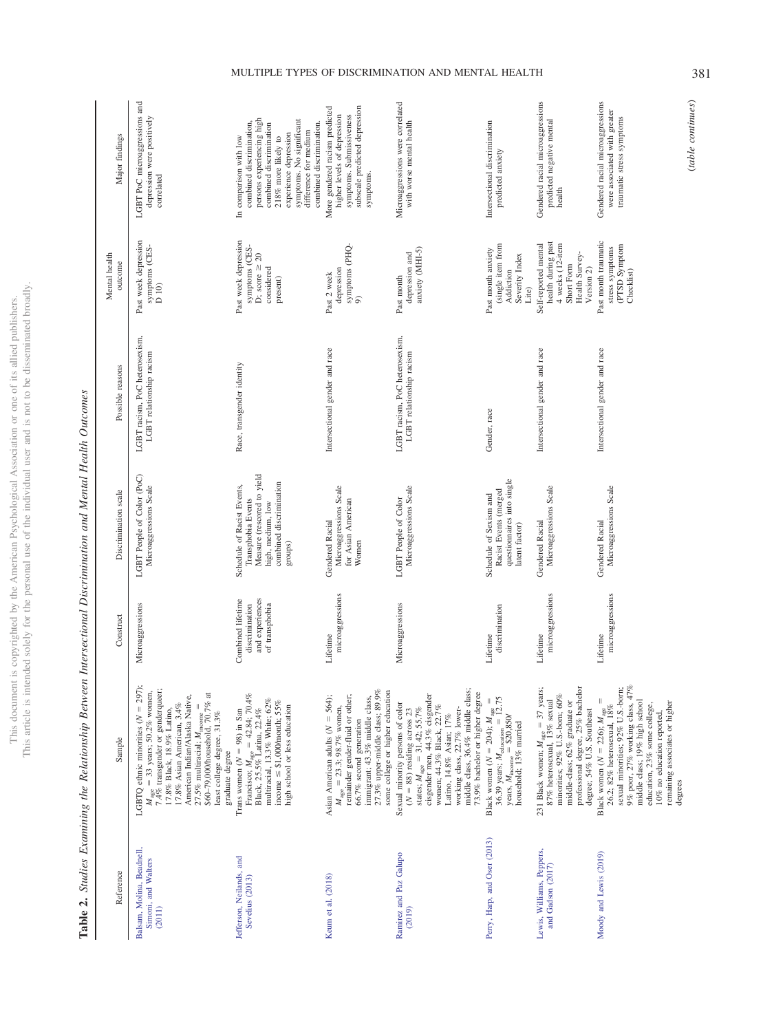This article is intended solely for the personal use of the individual user and is not to be disseminated broadly. This article is intended solely for the personal use of the individual user and is not to be disseminated broadly. This document is copyrighted by the American Psychological Association or one of its allied publishers. This document is copyrighted by the American Psychological Association or one of its allied publishers.

LGBT PoC microaggressions and Microaggressions were correlated Gendered racial microaggressions LGBT PoC microaggressions and Gendered racial microaggressions Microaggressions were correlated Gendered racial microaggressions Gendered racial microaggressions More gendered racism predicted More gendered racism predicted subscale predicted depression subscale predicted depression were associated with greater were associated with greater higher levels of depression symptoms. Submissiveness depression were positively symptoms. Submissiveness depression were positively higher levels of depression traumatic stress symptoms persons experiencing high persons experiencing high symptoms. No significant with worse mental health predicted negative mental traumatic stress symptoms symptoms. No significant Intersectional discrimination predicted negative mental combined discrimination, combined discrimination, combined discrimination combined discrimination. combined discrimination. with worse mental health Intersectional discrimination combined discrimination difference for medium experience depression difference for medium Major findings experience depression outcome Major findings 218% more likely to In comparison with low In comparison with low 218% more likely to predicted anxiety predicted anxiety symptoms. symptoms. correlated correlated health symptoms  $\overline{\text{CES}}$ -D 10) Past week depression Past week depression Past week depression Race, transgender identity Past week depression Past month traumatic  $\frac{\text{symptoms}}{9}$  (PHQ-Self-reported mental health during past health during past Intersectional gender and race Past month traumatic symptoms (CES-(single item from (single item from 4 weeks (12-item 4 weeks (12-item stress symptoms<br>(PTSD Symptom symptoms (CESsymptoms (CESsymptoms (PHQanxiety (MHI-5) Intersectional gender and race Self-reported mental (PTSD Symptom Past month anxiety anxiety (MHI-5) Gender, race **Past month anxiety** stress symptoms depression and Health Survey-D; score  $\geq 20$ Severity Index depression and Health Survey-D; score  $\geq 20$ Severity Index outcome Short Form Short Form considered depression Version 2) Checklist) considered Addiction Past 2 week **Addiction** Intersectional gender and race Past 2 week Past month present) Past month Lite)  ${\rm LGBT}$ racism, PoC heterosexism,  ${\rm LGBT}$ relationship racism LGBT racism, PoC heterosexism, LGBT racism, PoC heterosexism, LGBT racism, PoC heterosexism, Intersectional gender and race Intersectional gender and race Intersectional gender and race LGBT relationship racism LGBT relationship racism LGBT relationship racism Race, transgender identity Possible reasons Reference Sample Sample Construct Construct Discrimination scale Possible reasons Gender, race LGBT People of Color (PoC) Measure (rescored to yield Microaggressions LGBT People of Color (PoC) Measure (rescored to yield questionnaires into single questionnaires into single high, medium, low<br>combined discrimination Schedule of Racist Events, combined discrimination Microaggressions Scale Microaggressions Scale Microaggressions Scale Microaggressions Scale Microaggressions Scale Schedule of Racist Events, Microaggressions Scale Microaggressions Scale Microaggressions Scale Microaggressions Scale Microaggressions Scale Discrimination scale Racist Events (merged Racist Events (merged Schedule of Sexism and Schedule of Sexism and for Asian American LGBT People of Color Transphobia Events Microaggressions LGBT People of Color Transphobia Events for Asian American high, medium, low Gendered Racial Gendered Racial Gendered Racial Gendered Racial Gendered Racial Gendered Racial latent factor) latent factor) groups) Women microaggressions microaggressions microaggressions microaggressions microaggressions microaggressions Combined lifetime and experiences and experiences Combined lifetime Microaggressions discrimination of transphobia Microaggressions discrimination discrimination of transphobia discrimination Construct Lifetime Lifetime Lifetime Lifetime CBTQ ethnic minorities ( $N = 297$ );  $=$  37 years; professional degree, 25% bachelor professional degree, 25% bachelor 9% poor, 27% working class, 47% 9% poor, 27% working class, 47%  $M_{\text{age}} = 33$  years; 50.2% women, 7.4% transgender or genderqueer;<br>17.4% transgender or genderqueer;<br>17.8% Black, 18.9% Latino. 27.3% upper-middle class; 89.9% middle class, 36.4% middle class;  $=$  37 years; sexual minorities; 92% U.S.-bom; sexual minorities; 92% U.S.-born; 7.4% transgender or genderqueer; 27.5% multiracial;  $M_{\text{income}}$  =<br>\$60–79,000/household, 70.7% at 27.3% upper-middle class; 89.9% some college or higher education middle class, 36.4% middle class;  $=$  33 years; 50.2% women, Francisco;  $M_{\text{age}} = 42.84$ ; 70.4%<br>Black, 25.5% Latina, 22.4% some college or higher education  $(N = 88)$  residing across 23<br>states;  $M_{\text{age}} = 31.42$ ; 55.7%<br>cisgender men, 44.3% cisgender<br>women; 44.3% Black, 22.7% 73.9% bachelor or higher degree American Indian/Alaska Native, \$60–79,000/household, 70.7% at  $M_{\text{age}} = 23.3$ ; 98.7% women,<br>remainder gender-fluid or other, 73.9% bachelor or higher degree minorities; 92% U.S.-born; 60%  $= 42.84$ ; 70.4% Asian American adults ( $N = 564$ ); cisgender men, 44.3% cisgender minorities; 92% U.S.-born; 60% American Indian/Alaska Native, multiracial, 13.3% White; 62%<br>income  $\leq$  \$1,000/month; 55% remainder gender-fluid or other; immigrant; 43.3% middle class, immigrant; 43.3% middle class, 231 Black women;  $M_{\text{age}} = 37 \text{ year}$ <br>87% heterosexual, 13% sexual Black women ( $N = 226$ );  $M_{\text{age}} = 26.2$ ;  $82\%$  heterosexual,  $18\%$  $=$  12.75 middle-class; 62% graduate or middle class; 19% high school multiracial, 13.3% White; 62%  $= 204$ );  $M_{\rm age} =$  $= 226$ );  $M_{\rm age} =$ middle class; 19% high school  $\leq$  \$1,000/month; 55% Sexual minority persons of color 87% heterosexual, 13% sexual middle-class; 62% graduate or education, 23% some college, 17.8% Asian American, 3.4% high school or less education Sexual minority persons of color education, 23% some college, 17.8% Asian American, 3.4%  $27.5\%$  multiracial;  $M_{\text{incomp}} =$ high school or less education  $= 23.3$ ; 98.7% women, women; 44.3% Black, 22.7% working class, 22.7% lower-26.2; 82% heterosexual, 18% LGBTQ ethnic minorities (*N* least college degree, 31.3% Trans women  $(N = 98)$  in San  $=$  31.42; 55.7% working class, 22.7% lowerdegree; 54% U.S. Southeast 17.8% Black, 18.9% Latino, 98) in San Black, 25.5% Latina, 22.4% 88) residing across 23 degree; 54% U.S. Southeast 10% no education reported, Latino, 14.8% Asian; 17% 10% no education reported, least college degree, 31.3% Latino, 14.8% Asian; 17%  $= $20,850/$ 66.7% second generation Keum et al. [\(2018\)](#page-15-21) Asian American adults (*N* -66.7% second generation  $36.39$  years;  $M_{\text{eduction}} =$ household; 13% married 231 Black women;  $M_{\text{age}} =$ Sample Francisco;  $M_{\text{age}} =$  $y$ ears,  $M_{\text{income}} =$ graduate degree  $Trans$  women  $(N =$ Perry, Harp, and Oser [\(2013\)](#page-15-22) Black women (*N* -[Moody](#page-15-24) and Lewis (2019) Black women (*N* graduate degree states;  $M_{\text{age}} =$  $income \le$ Perry, Harp, and Oser (2013) Balsam, Molina, Beadnell, Lewis, Williams, Peppers, Balsam, Molina, [Beadnell,](#page-14-6) Lewis, [Williams,](#page-15-23) Peppers, Moody and Lewis (2019) Ramirez and Paz Galupo Jefferson, Neilands, and Ramirez and Paz [Galupo](#page-16-10) [Jefferson,](#page-15-20) Neilands, and Simoni, and Walters [Simoni,](#page-14-6) and Walters and Gadson (2017) and Gadson [\(2017\)](#page-15-23) Reference Keum et al. (2018) Sevelius (2013) [Sevelius](#page-15-20) (2013) [\(2019\)](#page-16-10) [\(2011\)](#page-14-6)

## <span id="page-7-0"></span>**Table 2.** Sudies Examining the Relationship Between Intersectional Discrimination and Mental Health Outcomes Table 2. Studies Examining the Relationship Between Intersectional Discrimination and Mental Health Outcomes

Mental health

Mental health

(*table continues*)

(table continues)

remaining associates or higher

remaining associates or higher

degrees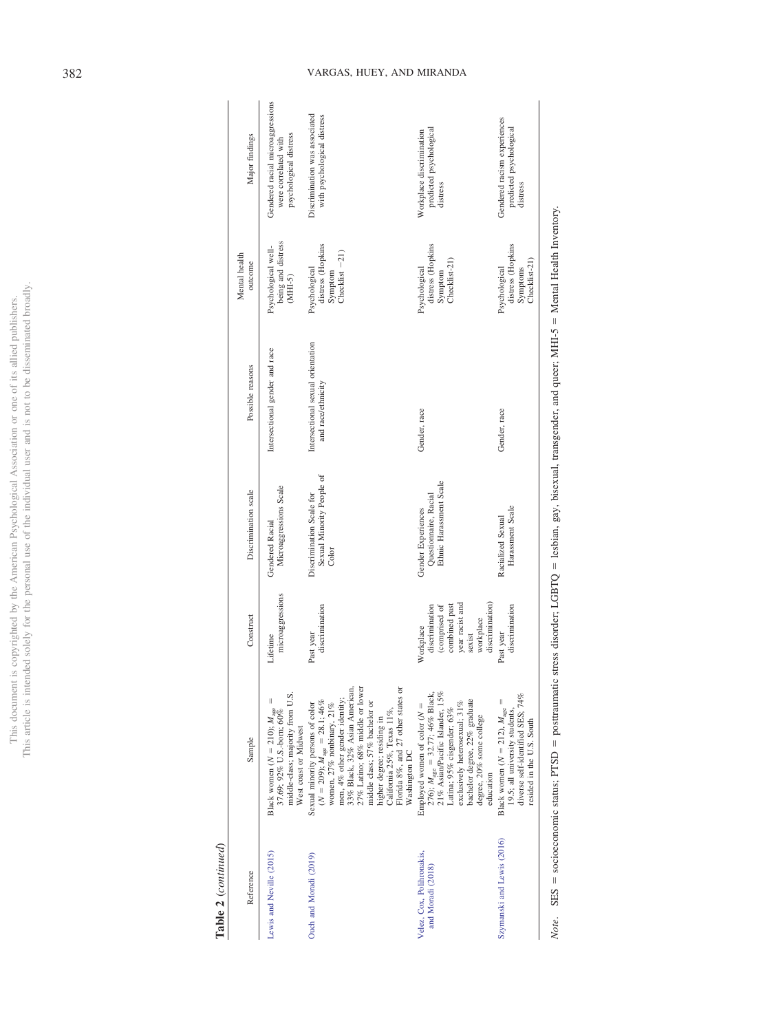|                            | Ì      |
|----------------------------|--------|
| í                          |        |
|                            |        |
| j                          |        |
| ï                          |        |
|                            |        |
|                            |        |
|                            |        |
|                            |        |
| j                          |        |
|                            |        |
|                            |        |
|                            |        |
|                            |        |
|                            |        |
|                            |        |
|                            |        |
|                            |        |
|                            |        |
|                            |        |
|                            |        |
|                            |        |
| $\ddot{\zeta}$             |        |
|                            |        |
|                            |        |
|                            | Ì      |
|                            |        |
|                            |        |
|                            | j      |
|                            |        |
|                            |        |
|                            | ï      |
|                            |        |
| $\frac{1}{2}$              |        |
| ζ                          | j      |
| j<br>I                     |        |
| ĵ                          |        |
|                            |        |
|                            |        |
|                            |        |
|                            |        |
|                            |        |
|                            |        |
| I                          |        |
|                            |        |
|                            |        |
| ì                          |        |
| i<br>ı                     | Ē      |
| $\overline{a}$             |        |
|                            |        |
|                            |        |
|                            | j      |
|                            |        |
|                            | I      |
|                            |        |
|                            |        |
|                            |        |
|                            | Į      |
| í                          | Ì      |
|                            |        |
|                            |        |
| ļ<br>)                     |        |
|                            |        |
| ì                          |        |
|                            |        |
| The committee of the state |        |
|                            |        |
|                            | I      |
|                            |        |
| ł                          |        |
| j<br>j                     |        |
|                            |        |
|                            |        |
|                            |        |
|                            |        |
|                            | i      |
|                            |        |
|                            | I      |
| . nie<br>í                 |        |
|                            | ĵ      |
|                            | ĺ<br>ì |

Table 2  $\left(\emph{continued}\right)$ **Table 2** (*continued*)

| Major findings           | Gendered racial microaggressions<br>psychological distress<br>were correlated with                                                    | Discrimination was associated<br>with psychological distress                                                                                                                                                                                                                                                                                                         | predicted psychological<br>Workplace discrimination<br>distress                                                                                                                                                                                          | Gendered racism experiences<br>predicted psychological<br>distress                                                                               |
|--------------------------|---------------------------------------------------------------------------------------------------------------------------------------|----------------------------------------------------------------------------------------------------------------------------------------------------------------------------------------------------------------------------------------------------------------------------------------------------------------------------------------------------------------------|----------------------------------------------------------------------------------------------------------------------------------------------------------------------------------------------------------------------------------------------------------|--------------------------------------------------------------------------------------------------------------------------------------------------|
| Mental health<br>outcome | being and distress<br>Psychological well-<br>$(MHI-5)$                                                                                | distress (Hopkins<br>$Checklist - 21)$<br>Psychological<br>Symptom                                                                                                                                                                                                                                                                                                   | distress (Hopkins<br>Checklist-21)<br>Psychological<br>Symptom                                                                                                                                                                                           | distress (Hopkins<br>Checklist-21)<br>Psychological<br>Symptoms                                                                                  |
| Possible reasons         | Intersectional gender and race                                                                                                        | Intersectional sexual orientation<br>and race/ethnicity                                                                                                                                                                                                                                                                                                              | Gender, race                                                                                                                                                                                                                                             | Gender, race                                                                                                                                     |
| Discrimination scale     | Microaggressions Scale<br>Gendered Racial                                                                                             | Sexual Minority People of<br>Discrimination Scale for<br>Color                                                                                                                                                                                                                                                                                                       | Ethnic Harassment Scale<br>Questionnaire, Racial<br>Gender Experiences                                                                                                                                                                                   | Harassment Scale<br>Racialized Sexual                                                                                                            |
| Construct                | microaggressions<br>Lifetime                                                                                                          | discrimination<br>Past year                                                                                                                                                                                                                                                                                                                                          | discrimination)<br>year racist and<br>combined past<br>discrimination<br>(comprised of<br>workplace<br>Workplace<br>sexist                                                                                                                               | discrimination<br>Past year                                                                                                                      |
| Sample                   | middle-class; majority from U.S.<br>Black women ( $N = 210$ ); $M_{\text{age}}$<br>37.69; 92% U.S.-born; 60%<br>West coast or Midwest | 33% Black, 32% Asian American,<br>27% Latino; 68% middle or lower<br>Florida 8%, and 27 other states or<br>men, 4% other gender identity;<br>$(N = 209); M_{\text{age}} = 28.1; 46\%$<br>middle class; 57% bachelor or<br>Sexual minority persons of color<br>women, 27% nonbinary, 21%<br>California 25%, Texas 11%,<br>higher degree; residing in<br>Washington DC | Employed women of color ( $N = 276$ ); $M_{\text{age}} = 32.77$ ; 46% Black,<br>21% Asian/Pacific Islander, 15%<br>bachelor degree, 22% graduate<br>exclusively heterosexual; 31%<br>Latina; 95% cisgender; 63%<br>degree, 20% some college<br>education | diverse self-identified SES; 74%<br>Black women ( $N = 212$ ), $M_{\text{age}} =$<br>19.5; all university students,<br>resided in the U.S. South |
| Reference                | Lewis and Neville (2015)                                                                                                              | Ouch and Moradi (2019)                                                                                                                                                                                                                                                                                                                                               | Velez, Cox, Polihronakis,<br>and Moradi (2018)                                                                                                                                                                                                           | Szymanski and Lewis (2016)                                                                                                                       |

Note. SES = socioeconomic status; PTSD = posttraumatic stress disorder; LGBTQ = lesbian, gay, bisexual, transgender, and queer; MHI-5 = Mental Health Inventory. Mental Health Inventory.  $=$  lesbian, gay, bisexual, transgender, and queer; MHI-5  $=$  $=$  posttraumatic stress disorder; LGBTQ  $=$  $=$  socioeconomic status;  $PTSD =$ *Note*. SES -

## 382 VARGAS, HUEY, AND MIRANDA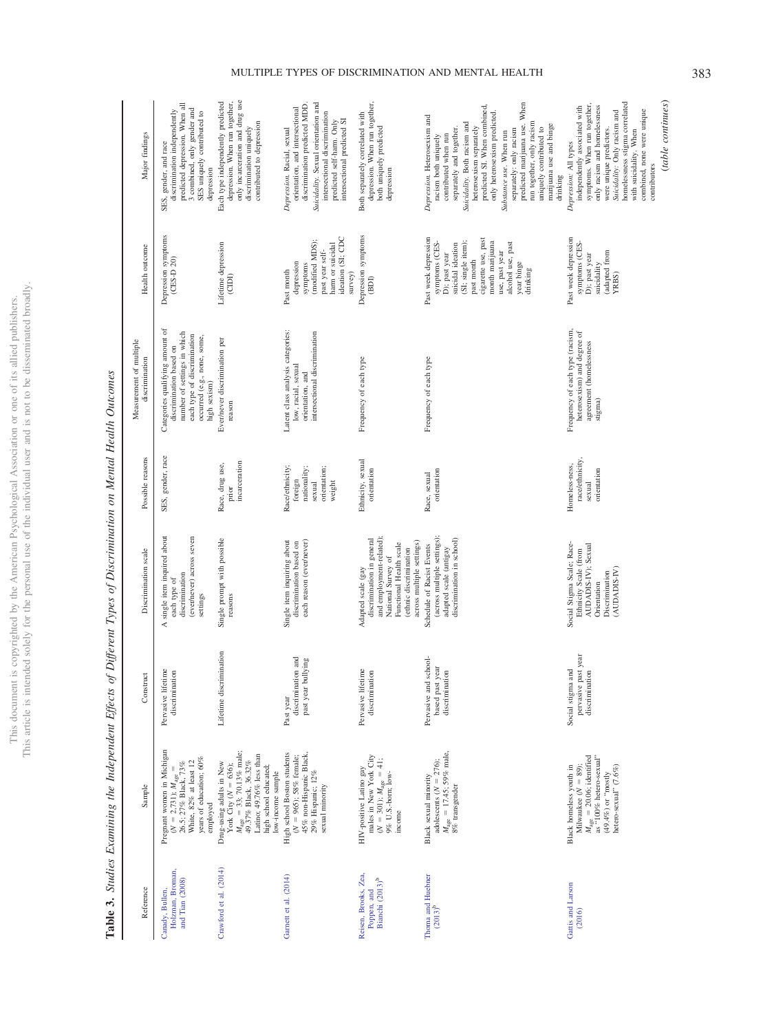This document is copyrighted by the American Psychological Association or one of its allied publishers.<br>This article is intended solely for the personal use of the individual user and is not to be disseminated broadly. This article is intended solely for the personal use of the individual user and is not to be disseminated broadly. This document is copyrighted by the American Psychological Association or one of its allied publishers.

| Major findings                            | predicted depression. When all<br>3 combined, only gender and<br>discrimination independently<br>SES uniquely contributed to<br>SES, gender, and race<br>depression     | only incarceration and drug use<br>Each type independently predicted<br>depression. When run together,<br>contributed to depression<br>discrimination uniquely                                         | Suicidality. Sexual orientation and<br>discrimination predicted MDD.<br>orientation, and intersectional<br>intersectional discrimination<br>intersectional predicted SI<br>predicted self-harm. Only<br>Depression. Racial, sexual | depression. When run together,<br>Both separately correlated with<br>both uniquely predicted<br>depression                                                                          | predicted marijuana use. When<br>predicted SI. When combined,<br>only heterosexism predicted.<br>Depression. Heterosexism and<br>Suicidality. Both racism and<br>run together, only racism<br>marijuana use and binge<br>separately and together.<br>uniquely contributed to<br>separately: only racism<br>heterosexism separately<br>Substance use. When run<br>contributed when run<br>racism both uniquely<br>drinking | homelessness stigma correlated<br>symptoms. When run together,<br>only racism and homelessness<br>independently associated with<br>Suicidality: Only racism and<br>combined, none were unique<br>were unique predictors.<br>with suicidality. When<br>Depression: All types<br>contributors |
|-------------------------------------------|-------------------------------------------------------------------------------------------------------------------------------------------------------------------------|--------------------------------------------------------------------------------------------------------------------------------------------------------------------------------------------------------|------------------------------------------------------------------------------------------------------------------------------------------------------------------------------------------------------------------------------------|-------------------------------------------------------------------------------------------------------------------------------------------------------------------------------------|---------------------------------------------------------------------------------------------------------------------------------------------------------------------------------------------------------------------------------------------------------------------------------------------------------------------------------------------------------------------------------------------------------------------------|---------------------------------------------------------------------------------------------------------------------------------------------------------------------------------------------------------------------------------------------------------------------------------------------|
| Health outcome                            | Depression symptoms<br>$(CES-D20)$                                                                                                                                      | Lifetime depression<br>(CDI)                                                                                                                                                                           | ideation (SI; CDC<br>(modified MDS);<br>harm or suicidal<br>past year self-<br>depression<br>symptoms<br>Past month<br>$s$ urvey)                                                                                                  | Depression symptoms<br>(BDI)                                                                                                                                                        | Past week depression<br>cigarette use, past<br>month marijuana<br>(SI; single item);<br>alcohol use, past<br>symptoms (CES-<br>suicidal ideation<br>use, past year<br>D); past year<br>past month<br>year binge<br>drinking                                                                                                                                                                                               | Past week depression<br>symptoms (CES-<br>adapted from<br>D); past year<br>suicidality<br>YRBS)                                                                                                                                                                                             |
| Measurement of multiple<br>discrimination | Categories qualifying amount of<br>number of settings in which<br>each type of discrimination<br>occurred (e.g., none, some,<br>discrimination based on<br>high sexism) | Ever/never discrimination per<br>reason                                                                                                                                                                | Latent class analysis categories:<br>intersectional discrimination<br>low, racial, sexual<br>orientation, and                                                                                                                      | Frequency of each type                                                                                                                                                              | Frequency of each type                                                                                                                                                                                                                                                                                                                                                                                                    | Frequency of each type (racism,<br>heterosexism) and degree of<br>agreement (homelessness<br>stigma)                                                                                                                                                                                        |
| Possible reasons                          | SES, gender, race                                                                                                                                                       | incarceration<br>Race, drug use,<br>prior                                                                                                                                                              | Race/ethnicity;<br>orientation;<br>nationality;<br>foreign<br>weight<br>sexual                                                                                                                                                     | Ethnicity, sexual<br>orientation                                                                                                                                                    | orientation<br>Race, sexual                                                                                                                                                                                                                                                                                                                                                                                               | race/ethnicity,<br>Homeless-ness,<br>orientation<br>sexual                                                                                                                                                                                                                                  |
| Discrimination scale                      | single item inquired about<br>(ever/never) across seven<br>discrimination<br>each type of<br>settings<br>∢                                                              | Single prompt with possible<br>reasons                                                                                                                                                                 | each reason (ever/never)<br>Single item inquiring about<br>discrimination based on                                                                                                                                                 | and employment-related);<br>discrimination in general<br>across multiple settings)<br>Functional Health scale<br>(ethnic discrimination<br>National Survey of<br>Adapted scale (gay | (across multiple settings);<br>discrimination in school)<br>Schedule of Racist Events<br>adapted scale (antigay                                                                                                                                                                                                                                                                                                           | Social Stigma Scale; Race-<br>AUDADIS-IV); Sexual<br>Ethnicity Scale (from<br>(AUDADIS-IV)<br>Discrimination<br>Orientation                                                                                                                                                                 |
| Construct                                 | Pervasive lifetime<br>discrimination                                                                                                                                    | Lifetime discrimination                                                                                                                                                                                | discrimination and<br>past year bullying<br>Past year                                                                                                                                                                              | Pervasive lifetime<br>discrimination                                                                                                                                                | school-<br>year<br>discrimination<br>Pervasive and<br>based past                                                                                                                                                                                                                                                                                                                                                          | pervasive past year<br>Social stigma and<br>discrimination                                                                                                                                                                                                                                  |
| Sample                                    | Pregnant women in Michigan<br>years of education; 60%<br>White, 82% at least 12<br>$(N = 2,731)$ ; $M_{\text{age}} =$<br>26.5; 27% Black, 73%<br>employed               | $M_{\text{age}} = 33; 70.13\% \text{ male};$<br>49.37% Black, 36.32%<br>Latino; 49.76% less than<br>Drug-using adults in New<br>York City ( $N = 636$ );<br>high school educated;<br>low-income sample | High school Boston students<br>45% non-Hispanic Black,<br>$(N = 965)$ ; 58% female;<br>$29\%$ Hispanic; $12\%$<br>sexual minority                                                                                                  | males in New York City<br>$(N = 301)$ ; $M_{\text{age}} = 41$ ;<br>9% U.S.-bom; low-<br>HIV-positive Latino gay<br>income                                                           | $M_{\rm age} = 17.45;$ 59% male,<br>adolescents ( $N = 276$ );<br>Black sexual minority<br>8% transgender                                                                                                                                                                                                                                                                                                                 | $M_{\text{age}} = 20.06; \text{ identified}$ as "100% hetero-sexual"<br>Milwaukee $(N = 89)$ ;<br>hetero-sexual" (7.6%)<br>Black homeless youth in<br>y(128001, 10 (964.64))                                                                                                                |
| Reference                                 | Holzman, Broman,<br>and Tian (2008)<br>Canady, Bullen,                                                                                                                  | Crawford et al. (2014)                                                                                                                                                                                 | Garnett et al. (2014)                                                                                                                                                                                                              | Reisen, Brooks, Zea,<br>Bianchi (2013) <sup>b</sup><br>Poppen, and                                                                                                                  | Thoma and Huebner<br>$(2013)^{b}$                                                                                                                                                                                                                                                                                                                                                                                         | Gattis and Larson<br>(2016)                                                                                                                                                                                                                                                                 |

# <span id="page-9-0"></span>Table 3. Studies Examining the Independent Effects of Different Types of Discrimination on Mental Health Outcomes **Table 3.** Studies Examining the Independent Effects of Different Types of Discrimination on Mental Health Outcomes

(*table continues*)

 $\label{eq:table} (table~continues)$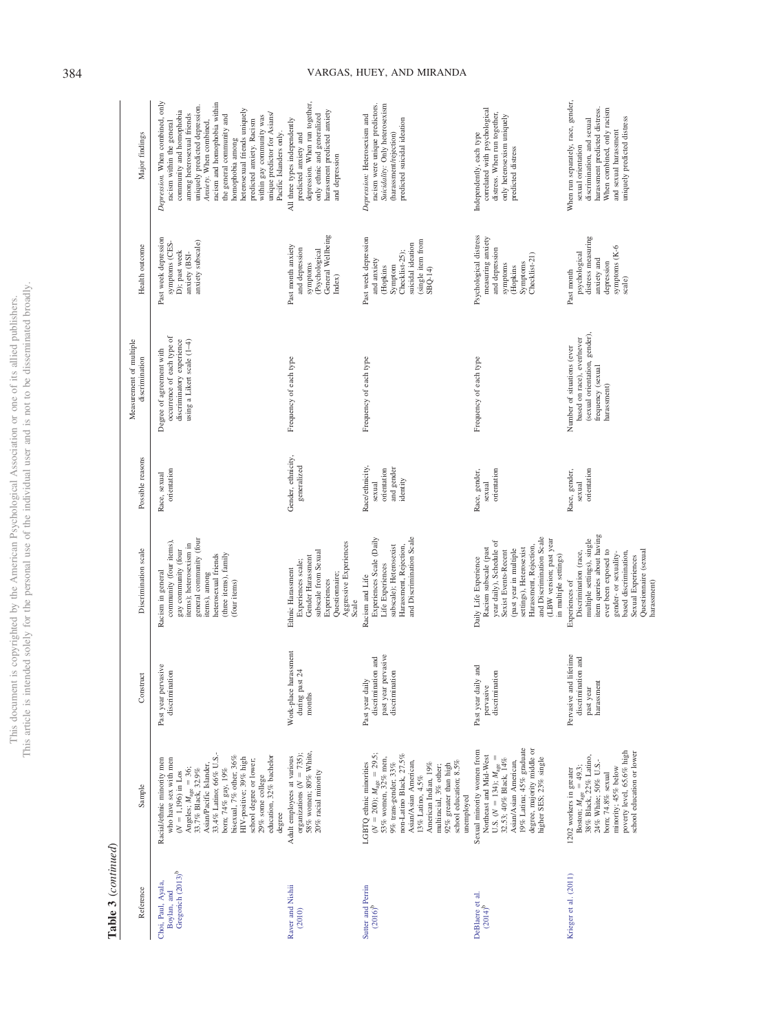|                          | į                        |
|--------------------------|--------------------------|
|                          | $\overline{\phantom{a}}$ |
| ו<br>נוב                 | i                        |
| ä                        | I                        |
| l                        |                          |
| ł                        |                          |
|                          |                          |
|                          | j                        |
|                          |                          |
|                          |                          |
|                          |                          |
|                          |                          |
| ì                        |                          |
| $\overline{\phantom{a}}$ | i                        |
|                          | ï                        |
|                          |                          |
|                          |                          |
|                          |                          |
| ì                        |                          |
|                          | j                        |
|                          |                          |
|                          |                          |
|                          |                          |
|                          |                          |
| j                        | j                        |
| í                        |                          |
|                          |                          |
|                          |                          |
|                          |                          |
|                          |                          |
| Ó                        | ミミ                       |
|                          |                          |
|                          |                          |
|                          |                          |
|                          | is a company of<br>J     |
|                          |                          |
|                          |                          |
|                          |                          |
| i                        | ï                        |
|                          | ֧֦֦֦֚֬֝֬֬֝֬֝֬֝֬          |
| 3                        |                          |
| ĉ                        |                          |
|                          | j                        |
| I<br>ℷ                   |                          |
| 2                        |                          |
|                          | $\mathbf{I}$<br>ī        |
|                          |                          |
|                          |                          |
|                          | ł                        |
| i                        |                          |
|                          |                          |
| u ubvi.                  |                          |
|                          |                          |
|                          | <b>TICA</b>              |
| ï                        | ź                        |
|                          |                          |
| i                        |                          |
| c<br>S                   |                          |
|                          |                          |
|                          |                          |
|                          | i                        |
|                          |                          |
|                          |                          |
| l                        | ļ                        |
| ł                        |                          |
|                          | j                        |
|                          | ł                        |
|                          | ï                        |
|                          | ĵ<br>ł<br>١              |
| I<br>í                   | i<br>ï                   |
|                          |                          |
| l                        |                          |
| ĉ<br>J<br>j<br>ì         |                          |
| ł                        |                          |
|                          | ï                        |
| í                        |                          |
|                          |                          |
| ١                        |                          |
| <b>LEXAND</b>            |                          |
| ¢                        | j                        |
|                          |                          |
|                          | ł                        |
|                          | j                        |
| $\overline{\phantom{a}}$ | í                        |
| i<br>I                   |                          |
|                          |                          |
|                          |                          |
|                          |                          |
| í                        |                          |
| j                        |                          |
|                          | j<br>¢                   |
|                          | В                        |
|                          |                          |
| l                        |                          |
| ŀ<br>ì                   |                          |
|                          |                          |
|                          | See of<br>i              |

 ${\bf Table ~3}~(continued)$ **Table 3** (*continued*)

| Reference                                           | Sample                                                                                                                                                                                                                                                                                                                                                   | Construct                                                                      | Discrimination scale                                                                                                                                                                                                                                              | Possible reasons                                                   | Measurement of multiple<br>discrimination                                                                                     | Health outcome                                                                                                                     | Major findings                                                                                                                                                                                                                                                                                                                                                                                                            |
|-----------------------------------------------------|----------------------------------------------------------------------------------------------------------------------------------------------------------------------------------------------------------------------------------------------------------------------------------------------------------------------------------------------------------|--------------------------------------------------------------------------------|-------------------------------------------------------------------------------------------------------------------------------------------------------------------------------------------------------------------------------------------------------------------|--------------------------------------------------------------------|-------------------------------------------------------------------------------------------------------------------------------|------------------------------------------------------------------------------------------------------------------------------------|---------------------------------------------------------------------------------------------------------------------------------------------------------------------------------------------------------------------------------------------------------------------------------------------------------------------------------------------------------------------------------------------------------------------------|
| Gregorich (2013) <sup>b</sup><br>Choi, Paul, Ayala, | 33.4% Latino; 66% U.S.-<br>education, 32% bachelor<br>bisexual, 7% other; 36%<br>HIV-positive; 39% high<br>who have sex with men<br>Racial/ethnic minority men<br>school degree or lower;<br>Asian/Pacific Islander,<br>bom; 74% gay, 19%<br>Angeles; $M_{\rm age} = 36;33.7\%$ Black, $32.9\%$<br>$(N = 1,196)$ in Los<br>$29\%$ some college<br>degree | Past year pervasive<br>discrimination                                          | general community (four<br>community (four items),<br>items); heterosexism in<br>gay community (four<br>(three items), family<br>items), among<br>heterosexual friends<br>Racism in general<br>(four items)                                                       | orientation<br>Race, sexual                                        | occurrence of each type of<br>using a Likert scale (1-4)<br>discriminatory experience<br>Degree of agreement with             | Past week depression<br>anxiety subscale)<br>symptoms (CES-<br>D); past week<br>anxiety (BSI-                                      | Depression. When combined, only<br>racism and homophobia within<br>uniquely predicted depression.<br>heterosexual friends uniquely<br>community and homophobia<br>unique predictor for Asians/<br>among heterosexual friends<br>the general community and<br>within gay community was<br>predicted anxiety. Racism<br>racism within the general<br>Anxiety. When combined,<br>Pacific Islanders only.<br>homophobia among |
| Raver and Nishii                                    | 58% women; 80% White,<br>organizations ( $N = 735$ );<br>Adult employees at various<br>20% racial minority                                                                                                                                                                                                                                               | Work-place harassment<br>$^{24}$<br>during past<br>months                      | Aggressive Experiences<br>subscale from Sexual<br>Gender Harassment<br>Experiences scale;<br>Ethnic Harassment<br>Questionnaire;<br>Experiences<br>Scale                                                                                                          | Gender, ethnicity,<br>generalized                                  | Frequency of each type                                                                                                        | General Wellbeing<br>Past month anxiety<br>and depression<br><b>(Psychological</b><br>symptoms<br>Index)                           | depression. When run together,<br>harassment predicted anxiety<br>only ethnic and generalized<br>All three types independently<br>predicted anxiety and<br>and depression                                                                                                                                                                                                                                                 |
| Sutter and Perrin                                   | $(N = 200)$ ; $M_{\text{age}} = 29.5$ ;<br>53% women, 32% men,<br>non-Latino Black, 27.5%<br>Asian/Asian American,<br>$92\%$ greater than high school education; $8.5\%$<br>LGBTQ ethnic minorities<br>American Indian, 19%<br>$9\%$ trans-gender; $33\%$<br>multiracial, 3% other;<br>13% Latino, 4.5%<br>unemployed                                    | past year pervasive<br>discrimination and<br>discrimination<br>Past year daily | and Discrimination Scale<br>Experiences Scale (Daily<br>subscale); Heterosexist<br>Harassment, Rejection,<br>Life Experiences<br>Racism and Life                                                                                                                  | Race/ethnicity,<br>and gender<br>orientation<br>identity<br>sexual | Frequency of each type                                                                                                        | Past week depression<br>(single item from<br>suicidal ideation<br>Checklist-25):<br>and anxiety<br>Symptom<br>(Hopkins<br>$SBQ-14$ | Suicidality: Only heterosexism<br>racism were unique predictors.<br>Depression: Heterosexism and<br>predicted suicidal ideation<br>(harassment/rejection)                                                                                                                                                                                                                                                                 |
|                                                     | 19% Latina; 45% graduate<br>degree, majority middle or<br>Sexual minority women from<br>Northeast and Mid-West<br>U.S. $(N = 134)$ ; $M_{\text{age}} = 32.53$ ; 40% Black, $14\%$<br>higher SES; 23% single<br>Asian/Asian American,                                                                                                                     | and<br>discrimination<br>Past year daily<br>pervasive                          | and Discrimination Scale<br>(LBW version; past year<br>year daily), Schedule of<br>Harassment, Rejection,<br>Racism subscale (past<br>settings), Heterosexist<br>(past year in multiple<br>Sexist Events-Recent<br>in multiple settings)<br>Daily Life Experience | orientation<br>Race, gender,<br>sexual                             | Frequency of each type                                                                                                        | Psychological distress<br>measuring anxiety<br>and depression<br>Checklist-21)<br>Symptoms<br>symptoms<br>(Hopkins                 | correlated with psychological<br>distress. When run together,<br>only heterosexism uniquely<br>Independently, each type<br>predicted distress                                                                                                                                                                                                                                                                             |
| Krieger et al. (2011)                               | school education or lower<br>poverty level, 65.6% high<br>Boston; $M_{\text{age}} = 49.3$ ;<br>38% Black, 22% Latino,<br>24% White; 50% U.S.-<br>minority; 45% below<br>1202 workers in greater<br>born; 74.8% sexual                                                                                                                                    | Pervasive and lifetime<br>discrimination and<br>harassment<br>past year        | item queries about having<br>multiple settings), single<br>ever been exposed to<br>Questionnaire (sexual<br>Discrimination (race,<br>based discrimination,<br>gender- or sexuality-<br>Sexual Experiences<br>Experiences of<br>harassment)                        | Race, gender,<br>orientation<br>sexual                             | (sexual orientation, gender),<br>based on race), ever/never<br>Number of situations (ever<br>frequency (sexual<br>harassment) | distress measuring<br>symptoms (K-6<br>psychological<br>anxiety and<br>depression<br>Past month<br>scale)                          | When run separately, race, gender,<br>When combined, only racism<br>harassment predicted distress.<br>uniquely predicted distress<br>discrimination, and sexual<br>and sexual harassment<br>sexual orientation                                                                                                                                                                                                            |

## 384 VARGAS, HUEY, AND MIRANDA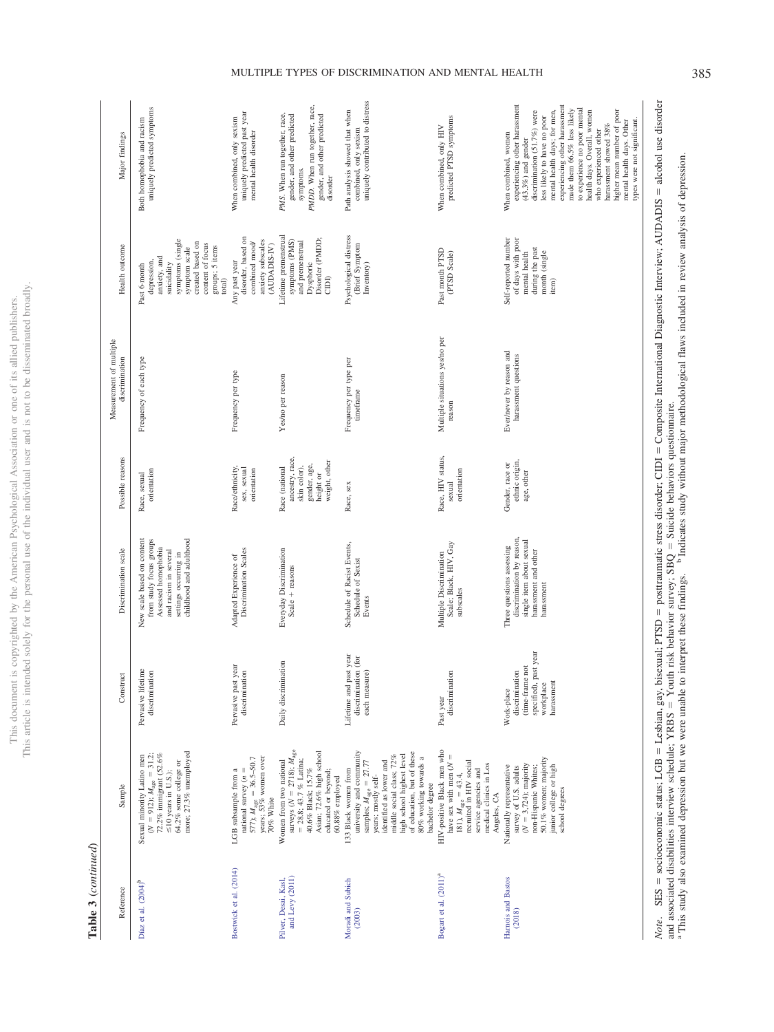This article is intended solely for the personal use of the individual user and is not to be disseminated broadly. This article is intended solely for the personal use of the individual user and is not to be disseminated broadly. This document is copyrighted by the American Psychological Association or one of its allied publishers. This document is copyrighted by the American Psychological Association or one of its allied publishers.

## Table 3 (continued) **Table 3** (*continued*)

| Sexual minority Latino men<br>Sample                                                                                                                                                                                             | Pervasive lifetime<br>Construct                                                                        | New scale based on content<br>Discrimination scale                                                                          | Possible reasons<br>Race, sexual                                                                | Measurement of multiple<br>discrimination<br>Frequency of each type | Health outcome<br>Past 6-month                                                                                                                       | Both homophobia and racism<br>Major findings                                                                                                                                                                                                                                                                                                                                                                                                            |
|----------------------------------------------------------------------------------------------------------------------------------------------------------------------------------------------------------------------------------|--------------------------------------------------------------------------------------------------------|-----------------------------------------------------------------------------------------------------------------------------|-------------------------------------------------------------------------------------------------|---------------------------------------------------------------------|------------------------------------------------------------------------------------------------------------------------------------------------------|---------------------------------------------------------------------------------------------------------------------------------------------------------------------------------------------------------------------------------------------------------------------------------------------------------------------------------------------------------------------------------------------------------------------------------------------------------|
| more; 27.3% unemployed<br>( $N = 912$ ); $M_{\text{age}} = 31.2$ ;<br>72.2% immigrant (52.6%<br>64.2% some college or                                                                                                            | discrimination                                                                                         | childhood and adulthood<br>from study focus groups<br>Assessed homophobia<br>and racism in several<br>settings occurring in | orientation                                                                                     |                                                                     | symptoms (single<br>created based on<br>content of focus<br>groups; 5 items<br>symptom scale<br>anxiety, and<br>depression,<br>suicidality<br>total) | uniquely predicted symptoms                                                                                                                                                                                                                                                                                                                                                                                                                             |
| 577); $M_{\text{age}} = 36.5 - 50.7$<br>years; 53% women over<br>national survey $(n =$<br>LGB subsample from a                                                                                                                  | Pervasive past year<br>discrimination                                                                  | Discrimination Scales<br>Adapted Experience of                                                                              | Race/ethnicity,<br>sex, sexual<br>orientation                                                   | Frequency per type                                                  | disorder, based on<br>anxiety subscales<br>combined mood/<br>(AUDADIS-IV)<br>Any past year                                                           | uniquely predicted past year<br>mental health disorder<br>When combined, only sexism                                                                                                                                                                                                                                                                                                                                                                    |
| surveys ( $N = 2718$ ); $M_{\text{age}} = 28.8$ ; 43.7 % Latina;<br>Asian; 72.6% high school<br>Women from two national<br>40.6% Black; 15.7%                                                                                    | Daily discrimination                                                                                   | Everyday Discrimination<br>Scale + reasons                                                                                  | ancestry, race,<br>weight, other<br>gender, age,<br>skin color),<br>Race (national<br>height or | Yes/no per reason                                                   | Lifetime premenstrual<br>Disorder (PMDD;<br>symptoms (PMS)<br>and premenstrual<br>Dysphoric<br>CIDI                                                  | PMDD. When run together, race,<br>gender, and other predicted<br>gender, and other predicted<br>PMS. When run together, race,<br>symptoms.<br>disorder                                                                                                                                                                                                                                                                                                  |
| university and community<br>of education, but of these<br>high school highest level<br>middle social class; 72%<br>80% working towards a<br>identified as lower and<br>samples; $M_{\text{age}} = 27.77$<br>133 Black women from | Lifetime and past year<br>discrimination (for<br>each measure)                                         | Schedule of Racist Events,<br>Schedule of Sexist<br>Events                                                                  | Race, sex                                                                                       | Frequency per type per<br>timeframe                                 | Psychological distress<br>(Brief Symptom<br>Inventory)                                                                                               | uniquely contributed to distress<br>Path analysis showed that when<br>combined, only sexism                                                                                                                                                                                                                                                                                                                                                             |
| HIV-positive Black men who<br>have sex with men $(N =$<br>recruited in HIV social<br>medical clinics in Los<br>service agencies and                                                                                              | discrimination<br>Past year                                                                            | Scale; Black, HIV, Gay<br>Multiple Discrimination<br>subscales                                                              | Race, HIV status,<br>orientation<br>sexual                                                      | Multiple situations yes/no per<br>reason                            | Past month PTSD<br>(PTSD Scale)                                                                                                                      | predicted PTSD symptoms<br>When combined, only HIV                                                                                                                                                                                                                                                                                                                                                                                                      |
| 50.1% women; majority<br>$(N = 3,724)$ ; majority<br>Nationally representative<br>junior college or high<br>non-Hispanic Whites:<br>survey of U.S. adults                                                                        | past year<br>(time-frame not<br>discrimination<br>harassment<br>Work-place<br>specified),<br>workplace | discrimination by reason,<br>single item about sexual<br>Three questions assessing<br>harassment and other<br>harassment    | ethnic origin,<br>Gender, race or<br>age, other                                                 | Ever/never by reason and<br>harassment questions                    | Self-reported number<br>of days with poor<br>during the past<br>month (single<br>mental health<br>item)                                              | experiencing other harassment<br>experiencing other harassment<br>to experience no poor mental<br>mental health days; for men,<br>made them 66.5% less likely<br>higher mean number of poor<br>discrimination (51.7%) were<br>health days. Overall, women<br>less likely to have no poor<br>types were not significant.<br>mental health days. Other<br>harassment showed 38%<br>who experienced other<br>When combined, women<br>$(43.3\%)$ and gender |

*Note*. SES - $=$  socioeconomic status; LGB  $=$  $=$  Lesbian, gay, bisexual; PTSD  $=$  posttraumatic stress disorder; CIDI - Composite International Diagnostic Interview; AUDADIS alcohol use disorder and associated disabilities interview schedule;  $YRBS =$  $=$  Youth risk behavior survey; SBQ  $=$  Suicide behaviors questionnaire. *Note*. SES = socioeconomic status; LGB = Lesbian, gay, bisexual; PTSD = posttraumatic stress disorder; CIDI = Composite International Diagnostic Interview; AUDADIS = alcohol use disorder<br>and associated disabilities inter This study also examined depression but we were unable to interpret these findings. b Indicates study without major methodological flaws included in review analysis of depression.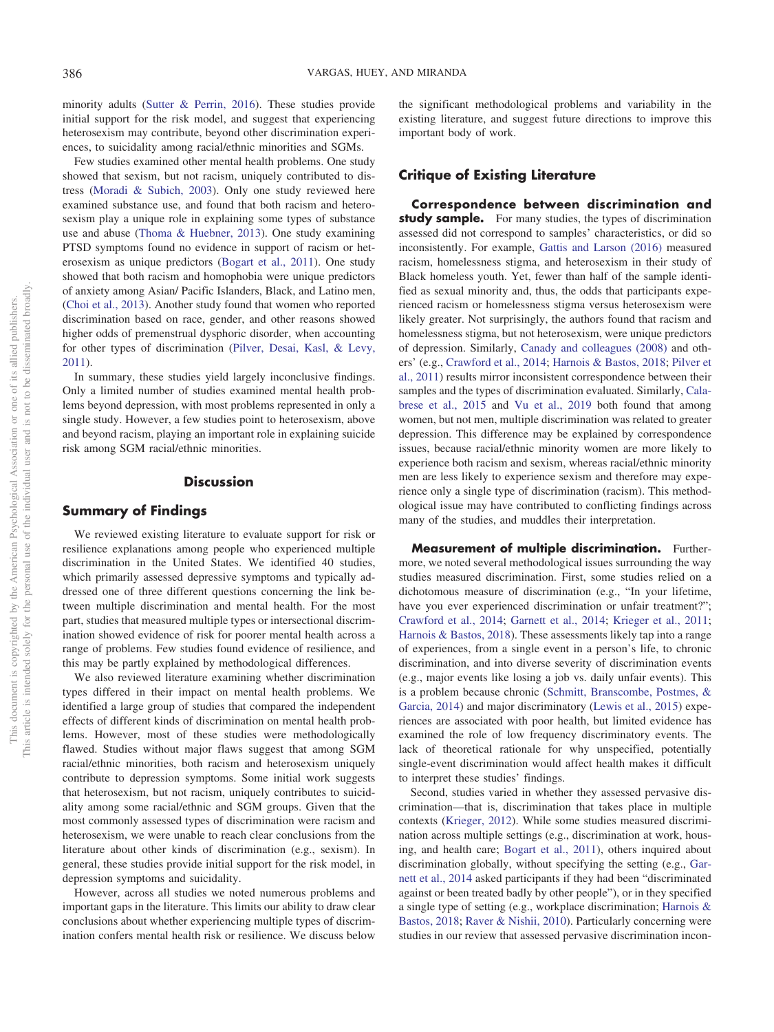minority adults [\(Sutter & Perrin, 2016\)](#page-16-9). These studies provide initial support for the risk model, and suggest that experiencing heterosexism may contribute, beyond other discrimination experiences, to suicidality among racial/ethnic minorities and SGMs.

Few studies examined other mental health problems. One study showed that sexism, but not racism, uniquely contributed to distress [\(Moradi & Subich, 2003\)](#page-15-28). Only one study reviewed here examined substance use, and found that both racism and heterosexism play a unique role in explaining some types of substance use and abuse [\(Thoma & Huebner, 2013\)](#page-16-1). One study examining PTSD symptoms found no evidence in support of racism or heterosexism as unique predictors [\(Bogart et al., 2011\)](#page-14-11). One study showed that both racism and homophobia were unique predictors of anxiety among Asian/ Pacific Islanders, Black, and Latino men, [\(Choi et al., 2013\)](#page-14-9). Another study found that women who reported discrimination based on race, gender, and other reasons showed higher odds of premenstrual dysphoric disorder, when accounting for other types of discrimination [\(Pilver, Desai, Kasl, & Levy,](#page-15-27) [2011\)](#page-15-27).

In summary, these studies yield largely inconclusive findings. Only a limited number of studies examined mental health problems beyond depression, with most problems represented in only a single study. However, a few studies point to heterosexism, above and beyond racism, playing an important role in explaining suicide risk among SGM racial/ethnic minorities.

## **Discussion**

## **Summary of Findings**

We reviewed existing literature to evaluate support for risk or resilience explanations among people who experienced multiple discrimination in the United States. We identified 40 studies, which primarily assessed depressive symptoms and typically addressed one of three different questions concerning the link between multiple discrimination and mental health. For the most part, studies that measured multiple types or intersectional discrimination showed evidence of risk for poorer mental health across a range of problems. Few studies found evidence of resilience, and this may be partly explained by methodological differences.

We also reviewed literature examining whether discrimination types differed in their impact on mental health problems. We identified a large group of studies that compared the independent effects of different kinds of discrimination on mental health problems. However, most of these studies were methodologically flawed. Studies without major flaws suggest that among SGM racial/ethnic minorities, both racism and heterosexism uniquely contribute to depression symptoms. Some initial work suggests that heterosexism, but not racism, uniquely contributes to suicidality among some racial/ethnic and SGM groups. Given that the most commonly assessed types of discrimination were racism and heterosexism, we were unable to reach clear conclusions from the literature about other kinds of discrimination (e.g., sexism). In general, these studies provide initial support for the risk model, in depression symptoms and suicidality.

However, across all studies we noted numerous problems and important gaps in the literature. This limits our ability to draw clear conclusions about whether experiencing multiple types of discrimination confers mental health risk or resilience. We discuss below the significant methodological problems and variability in the existing literature, and suggest future directions to improve this important body of work.

## **Critique of Existing Literature**

**Correspondence between discrimination and study sample.** For many studies, the types of discrimination assessed did not correspond to samples' characteristics, or did so inconsistently. For example, [Gattis and Larson \(2016\)](#page-15-19) measured racism, homelessness stigma, and heterosexism in their study of Black homeless youth. Yet, fewer than half of the sample identified as sexual minority and, thus, the odds that participants experienced racism or homelessness stigma versus heterosexism were likely greater. Not surprisingly, the authors found that racism and homelessness stigma, but not heterosexism, were unique predictors of depression. Similarly, [Canady and colleagues \(2008\)](#page-14-10) and others' (e.g., [Crawford et al., 2014;](#page-14-8) [Harnois & Bastos, 2018;](#page-15-15) [Pilver et](#page-15-27) [al., 2011\)](#page-15-27) results mirror inconsistent correspondence between their samples and the types of discrimination evaluated. Similarly, [Cala](#page-14-5)[brese et al., 2015](#page-14-5) and [Vu et al., 2019](#page-16-5) both found that among women, but not men, multiple discrimination was related to greater depression. This difference may be explained by correspondence issues, because racial/ethnic minority women are more likely to experience both racism and sexism, whereas racial/ethnic minority men are less likely to experience sexism and therefore may experience only a single type of discrimination (racism). This methodological issue may have contributed to conflicting findings across many of the studies, and muddles their interpretation.

**Measurement of multiple discrimination.** Furthermore, we noted several methodological issues surrounding the way studies measured discrimination. First, some studies relied on a dichotomous measure of discrimination (e.g., "In your lifetime, have you ever experienced discrimination or unfair treatment?"; [Crawford et al., 2014;](#page-14-8) [Garnett et al., 2014;](#page-15-18) [Krieger et al., 2011;](#page-15-16) [Harnois & Bastos, 2018\)](#page-15-15). These assessments likely tap into a range of experiences, from a single event in a person's life, to chronic discrimination, and into diverse severity of discrimination events (e.g., major events like losing a job vs. daily unfair events). This is a problem because chronic [\(Schmitt, Branscombe, Postmes, &](#page-16-13) [Garcia, 2014\)](#page-16-13) and major discriminatory [\(Lewis et al., 2015\)](#page-15-25) experiences are associated with poor health, but limited evidence has examined the role of low frequency discriminatory events. The lack of theoretical rationale for why unspecified, potentially single-event discrimination would affect health makes it difficult to interpret these studies' findings.

Second, studies varied in whether they assessed pervasive discrimination—that is, discrimination that takes place in multiple contexts [\(Krieger, 2012\)](#page-15-4). While some studies measured discrimination across multiple settings (e.g., discrimination at work, housing, and health care; [Bogart et al., 2011\)](#page-14-11), others inquired about discrimination globally, without specifying the setting (e.g., [Gar](#page-15-18)[nett et al., 2014](#page-15-18) asked participants if they had been "discriminated against or been treated badly by other people"), or in they specified a single type of setting (e.g., workplace discrimination; [Harnois &](#page-15-15) [Bastos, 2018;](#page-15-15) [Raver & Nishii, 2010\)](#page-16-0). Particularly concerning were studies in our review that assessed pervasive discrimination incon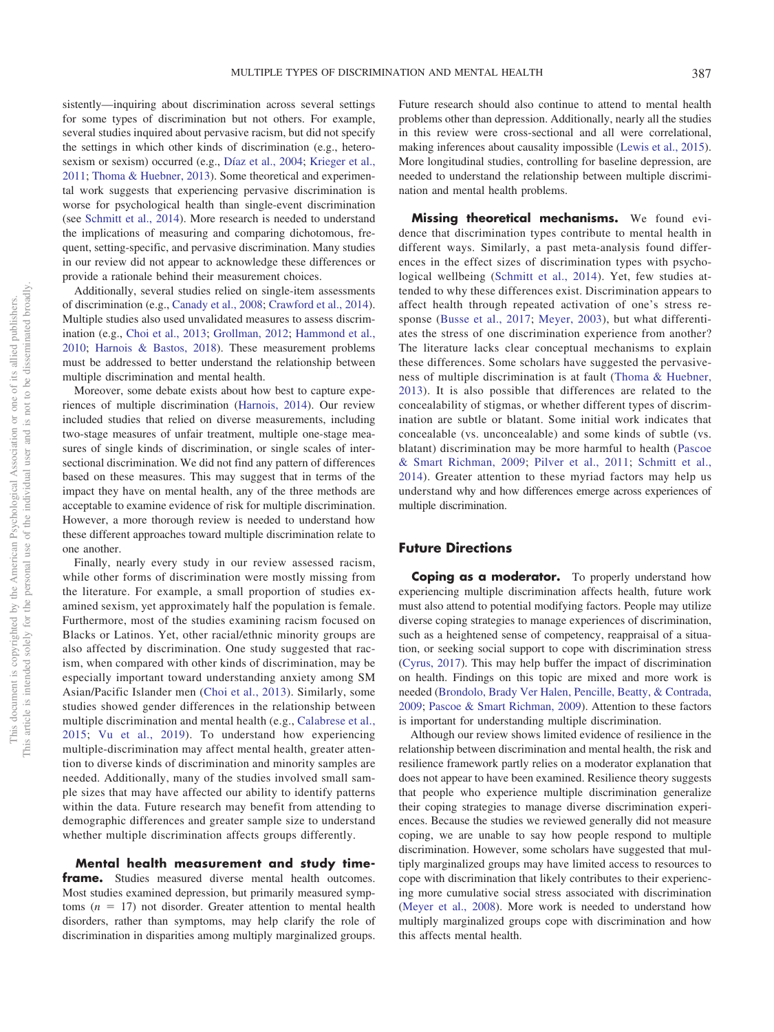sistently—inquiring about discrimination across several settings for some types of discrimination but not others. For example, several studies inquired about pervasive racism, but did not specify the settings in which other kinds of discrimination (e.g., heterosexism or sexism) occurred (e.g., [Díaz et al., 2004;](#page-15-17) [Krieger et al.,](#page-15-16) [2011;](#page-15-16) [Thoma & Huebner, 2013\)](#page-16-1). Some theoretical and experimental work suggests that experiencing pervasive discrimination is worse for psychological health than single-event discrimination (see [Schmitt et al., 2014\)](#page-16-13). More research is needed to understand the implications of measuring and comparing dichotomous, frequent, setting-specific, and pervasive discrimination. Many studies in our review did not appear to acknowledge these differences or provide a rationale behind their measurement choices.

Additionally, several studies relied on single-item assessments of discrimination (e.g., [Canady et al., 2008;](#page-14-10) [Crawford et al., 2014\)](#page-14-8). Multiple studies also used unvalidated measures to assess discrimination (e.g., [Choi et al., 2013;](#page-14-9) [Grollman, 2012;](#page-15-2) [Hammond et al.,](#page-15-13) [2010;](#page-15-13) [Harnois & Bastos, 2018\)](#page-15-15). These measurement problems must be addressed to better understand the relationship between multiple discrimination and mental health.

Moreover, some debate exists about how best to capture experiences of multiple discrimination [\(Harnois, 2014\)](#page-15-3). Our review included studies that relied on diverse measurements, including two-stage measures of unfair treatment, multiple one-stage measures of single kinds of discrimination, or single scales of intersectional discrimination. We did not find any pattern of differences based on these measures. This may suggest that in terms of the impact they have on mental health, any of the three methods are acceptable to examine evidence of risk for multiple discrimination. However, a more thorough review is needed to understand how these different approaches toward multiple discrimination relate to one another.

Finally, nearly every study in our review assessed racism, while other forms of discrimination were mostly missing from the literature. For example, a small proportion of studies examined sexism, yet approximately half the population is female. Furthermore, most of the studies examining racism focused on Blacks or Latinos. Yet, other racial/ethnic minority groups are also affected by discrimination. One study suggested that racism, when compared with other kinds of discrimination, may be especially important toward understanding anxiety among SM Asian/Pacific Islander men [\(Choi et al., 2013\)](#page-14-9). Similarly, some studies showed gender differences in the relationship between multiple discrimination and mental health (e.g., [Calabrese et al.,](#page-14-5) [2015;](#page-14-5) [Vu et al., 2019\)](#page-16-5). To understand how experiencing multiple-discrimination may affect mental health, greater attention to diverse kinds of discrimination and minority samples are needed. Additionally, many of the studies involved small sample sizes that may have affected our ability to identify patterns within the data. Future research may benefit from attending to demographic differences and greater sample size to understand whether multiple discrimination affects groups differently.

**Mental health measurement and study timeframe.** Studies measured diverse mental health outcomes. Most studies examined depression, but primarily measured symp $t$ <sub>toms</sub> ( $n = 17$ ) not disorder. Greater attention to mental health disorders, rather than symptoms, may help clarify the role of discrimination in disparities among multiply marginalized groups.

Future research should also continue to attend to mental health problems other than depression. Additionally, nearly all the studies in this review were cross-sectional and all were correlational, making inferences about causality impossible [\(Lewis et al., 2015\)](#page-15-25). More longitudinal studies, controlling for baseline depression, are needed to understand the relationship between multiple discrimination and mental health problems.

**Missing theoretical mechanisms.** We found evidence that discrimination types contribute to mental health in different ways. Similarly, a past meta-analysis found differences in the effect sizes of discrimination types with psychological wellbeing [\(Schmitt et al., 2014\)](#page-16-13). Yet, few studies attended to why these differences exist. Discrimination appears to affect health through repeated activation of one's stress response [\(Busse et al., 2017;](#page-14-1) [Meyer, 2003\)](#page-15-5), but what differentiates the stress of one discrimination experience from another? The literature lacks clear conceptual mechanisms to explain these differences. Some scholars have suggested the pervasiveness of multiple discrimination is at fault [\(Thoma & Huebner,](#page-16-1) [2013\)](#page-16-1). It is also possible that differences are related to the concealability of stigmas, or whether different types of discrimination are subtle or blatant. Some initial work indicates that concealable (vs. unconcealable) and some kinds of subtle (vs. blatant) discrimination may be more harmful to health [\(Pascoe](#page-15-1) [& Smart Richman, 2009;](#page-15-1) [Pilver et al., 2011;](#page-15-27) [Schmitt et al.,](#page-16-13) [2014\)](#page-16-13). Greater attention to these myriad factors may help us understand why and how differences emerge across experiences of multiple discrimination.

## **Future Directions**

**Coping as a moderator.** To properly understand how experiencing multiple discrimination affects health, future work must also attend to potential modifying factors. People may utilize diverse coping strategies to manage experiences of discrimination, such as a heightened sense of competency, reappraisal of a situation, or seeking social support to cope with discrimination stress [\(Cyrus, 2017\)](#page-14-0). This may help buffer the impact of discrimination on health. Findings on this topic are mixed and more work is needed [\(Brondolo, Brady Ver Halen, Pencille, Beatty, & Contrada,](#page-14-12) [2009;](#page-14-12) [Pascoe & Smart Richman, 2009\)](#page-15-1). Attention to these factors is important for understanding multiple discrimination.

Although our review shows limited evidence of resilience in the relationship between discrimination and mental health, the risk and resilience framework partly relies on a moderator explanation that does not appear to have been examined. Resilience theory suggests that people who experience multiple discrimination generalize their coping strategies to manage diverse discrimination experiences. Because the studies we reviewed generally did not measure coping, we are unable to say how people respond to multiple discrimination. However, some scholars have suggested that multiply marginalized groups may have limited access to resources to cope with discrimination that likely contributes to their experiencing more cumulative social stress associated with discrimination [\(Meyer et al., 2008\)](#page-15-7). More work is needed to understand how multiply marginalized groups cope with discrimination and how this affects mental health.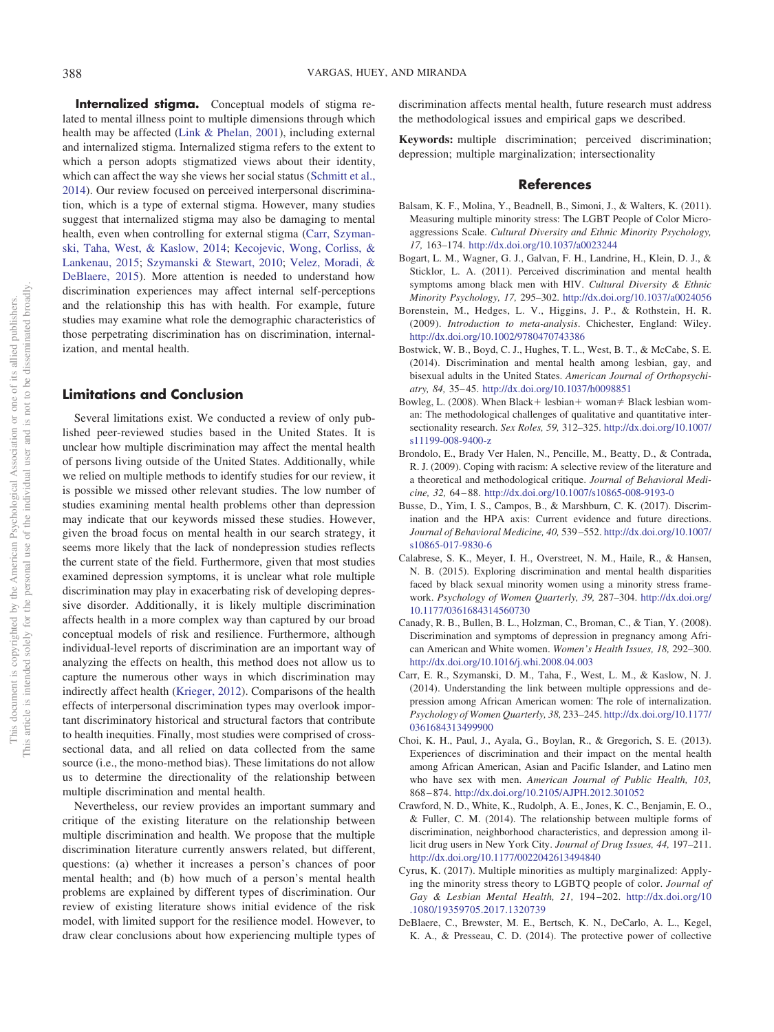**Internalized stigma.** Conceptual models of stigma related to mental illness point to multiple dimensions through which health may be affected [\(Link & Phelan, 2001\)](#page-15-29), including external and internalized stigma. Internalized stigma refers to the extent to which a person adopts stigmatized views about their identity, which can affect the way she views her social status [\(Schmitt et al.,](#page-16-13) [2014\)](#page-16-13). Our review focused on perceived interpersonal discrimination, which is a type of external stigma. However, many studies suggest that internalized stigma may also be damaging to mental health, even when controlling for external stigma [\(Carr, Szyman](#page-14-13)[ski, Taha, West, & Kaslow, 2014;](#page-14-13) [Kecojevic, Wong, Corliss, &](#page-15-30) [Lankenau, 2015;](#page-15-30) [Szymanski & Stewart, 2010;](#page-16-14) [Velez, Moradi, &](#page-16-15) [DeBlaere, 2015\)](#page-16-15). More attention is needed to understand how discrimination experiences may affect internal self-perceptions and the relationship this has with health. For example, future studies may examine what role the demographic characteristics of those perpetrating discrimination has on discrimination, internal-

## **Limitations and Conclusion**

ization, and mental health.

Several limitations exist. We conducted a review of only published peer-reviewed studies based in the United States. It is unclear how multiple discrimination may affect the mental health of persons living outside of the United States. Additionally, while we relied on multiple methods to identify studies for our review, it is possible we missed other relevant studies. The low number of studies examining mental health problems other than depression may indicate that our keywords missed these studies. However, given the broad focus on mental health in our search strategy, it seems more likely that the lack of nondepression studies reflects the current state of the field. Furthermore, given that most studies examined depression symptoms, it is unclear what role multiple discrimination may play in exacerbating risk of developing depressive disorder. Additionally, it is likely multiple discrimination affects health in a more complex way than captured by our broad conceptual models of risk and resilience. Furthermore, although individual-level reports of discrimination are an important way of analyzing the effects on health, this method does not allow us to capture the numerous other ways in which discrimination may indirectly affect health [\(Krieger, 2012\)](#page-15-4). Comparisons of the health effects of interpersonal discrimination types may overlook important discriminatory historical and structural factors that contribute to health inequities. Finally, most studies were comprised of crosssectional data, and all relied on data collected from the same source (i.e., the mono-method bias). These limitations do not allow us to determine the directionality of the relationship between multiple discrimination and mental health.

Nevertheless, our review provides an important summary and critique of the existing literature on the relationship between multiple discrimination and health. We propose that the multiple discrimination literature currently answers related, but different, questions: (a) whether it increases a person's chances of poor mental health; and (b) how much of a person's mental health problems are explained by different types of discrimination. Our review of existing literature shows initial evidence of the risk model, with limited support for the resilience model. However, to draw clear conclusions about how experiencing multiple types of discrimination affects mental health, future research must address the methodological issues and empirical gaps we described.

**Keywords:** multiple discrimination; perceived discrimination; depression; multiple marginalization; intersectionality

## **References**

- <span id="page-14-6"></span>Balsam, K. F., Molina, Y., Beadnell, B., Simoni, J., & Walters, K. (2011). Measuring multiple minority stress: The LGBT People of Color Microaggressions Scale. *Cultural Diversity and Ethnic Minority Psychology, 17,* 163–174. http://dx.doi.org/10.1037/a0023244
- <span id="page-14-11"></span>Bogart, L. M., Wagner, G. J., Galvan, F. H., Landrine, H., Klein, D. J., & Sticklor, L. A. (2011). Perceived discrimination and mental health symptoms among black men with HIV. *Cultural Diversity & Ethnic Minority Psychology, 17,* 295–302. http://dx.doi.org/10.1037/a0024056
- <span id="page-14-3"></span>Borenstein, M., Hedges, L. V., Higgins, J. P., & Rothstein, H. R. (2009). *Introduction to meta-analysis*. Chichester, England: Wiley. http://dx.doi.org/10.1002/9780470743386
- <span id="page-14-4"></span>Bostwick, W. B., Boyd, C. J., Hughes, T. L., West, B. T., & McCabe, S. E. (2014). Discrimination and mental health among lesbian, gay, and bisexual adults in the United States. *American Journal of Orthopsychiatry, 84,* 35– 45. http://dx.doi.org/10.1037/h0098851
- <span id="page-14-2"></span>Bowleg, L. (2008). When Black + lesbian + woman  $\neq$  Black lesbian woman: The methodological challenges of qualitative and quantitative intersectionality research. *Sex Roles, 59,* 312–325. http://dx.doi.org/10.1007/ s11199-008-9400-z
- <span id="page-14-12"></span>Brondolo, E., Brady Ver Halen, N., Pencille, M., Beatty, D., & Contrada, R. J. (2009). Coping with racism: A selective review of the literature and a theoretical and methodological critique. *Journal of Behavioral Medicine, 32,* 64 – 88. http://dx.doi.org/10.1007/s10865-008-9193-0
- <span id="page-14-1"></span>Busse, D., Yim, I. S., Campos, B., & Marshburn, C. K. (2017). Discrimination and the HPA axis: Current evidence and future directions. *Journal of Behavioral Medicine, 40,* 539 –552. http://dx.doi.org/10.1007/ s10865-017-9830-6
- <span id="page-14-5"></span>Calabrese, S. K., Meyer, I. H., Overstreet, N. M., Haile, R., & Hansen, N. B. (2015). Exploring discrimination and mental health disparities faced by black sexual minority women using a minority stress framework. *Psychology of Women Quarterly, 39,* 287–304. http://dx.doi.org/ 10.1177/0361684314560730
- <span id="page-14-10"></span>Canady, R. B., Bullen, B. L., Holzman, C., Broman, C., & Tian, Y. (2008). Discrimination and symptoms of depression in pregnancy among African American and White women. *Women's Health Issues, 18,* 292–300. http://dx.doi.org/10.1016/j.whi.2008.04.003
- <span id="page-14-13"></span>Carr, E. R., Szymanski, D. M., Taha, F., West, L. M., & Kaslow, N. J. (2014). Understanding the link between multiple oppressions and depression among African American women: The role of internalization. *Psychology of Women Quarterly, 38,* 233–245. http://dx.doi.org/10.1177/ 0361684313499900
- <span id="page-14-9"></span>Choi, K. H., Paul, J., Ayala, G., Boylan, R., & Gregorich, S. E. (2013). Experiences of discrimination and their impact on the mental health among African American, Asian and Pacific Islander, and Latino men who have sex with men. *American Journal of Public Health, 103,* 868 – 874. http://dx.doi.org/10.2105/AJPH.2012.301052
- <span id="page-14-8"></span>Crawford, N. D., White, K., Rudolph, A. E., Jones, K. C., Benjamin, E. O., & Fuller, C. M. (2014). The relationship between multiple forms of discrimination, neighborhood characteristics, and depression among illicit drug users in New York City. *Journal of Drug Issues, 44,* 197–211. http://dx.doi.org/10.1177/0022042613494840
- <span id="page-14-0"></span>Cyrus, K. (2017). Multiple minorities as multiply marginalized: Applying the minority stress theory to LGBTQ people of color. *Journal of Gay & Lesbian Mental Health, 21,* 194 –202. http://dx.doi.org/10 .1080/19359705.2017.1320739
- <span id="page-14-7"></span>DeBlaere, C., Brewster, M. E., Bertsch, K. N., DeCarlo, A. L., Kegel, K. A., & Presseau, C. D. (2014). The protective power of collective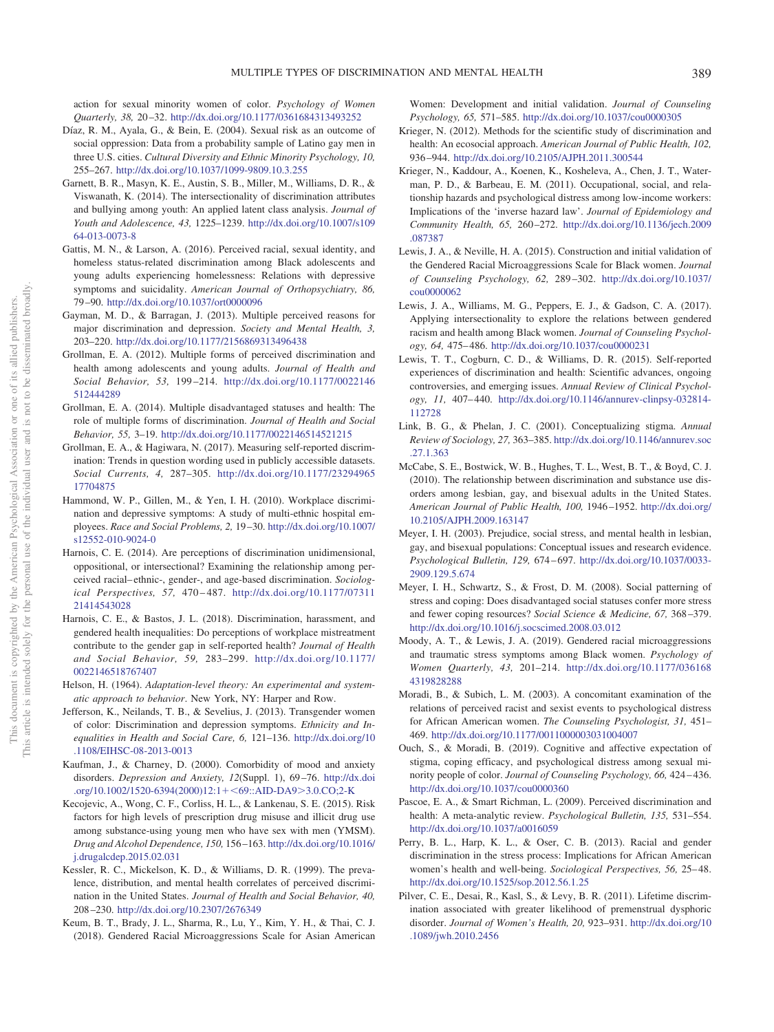action for sexual minority women of color. *Psychology of Women Quarterly, 38,* 20 –32. http://dx.doi.org/10.1177/0361684313493252

- <span id="page-15-17"></span>Díaz, R. M., Ayala, G., & Bein, E. (2004). Sexual risk as an outcome of social oppression: Data from a probability sample of Latino gay men in three U.S. cities. *Cultural Diversity and Ethnic Minority Psychology, 10,* 255–267. http://dx.doi.org/10.1037/1099-9809.10.3.255
- <span id="page-15-18"></span>Garnett, B. R., Masyn, K. E., Austin, S. B., Miller, M., Williams, D. R., & Viswanath, K. (2014). The intersectionality of discrimination attributes and bullying among youth: An applied latent class analysis. *Journal of Youth and Adolescence, 43,* 1225–1239. http://dx.doi.org/10.1007/s109 64-013-0073-8
- <span id="page-15-19"></span>Gattis, M. N., & Larson, A. (2016). Perceived racial, sexual identity, and homeless status-related discrimination among Black adolescents and young adults experiencing homelessness: Relations with depressive symptoms and suicidality. *American Journal of Orthopsychiatry, 86,* 79 –90. http://dx.doi.org/10.1037/ort0000096
- <span id="page-15-11"></span>Gayman, M. D., & Barragan, J. (2013). Multiple perceived reasons for major discrimination and depression. *Society and Mental Health, 3,* 203–220. http://dx.doi.org/10.1177/2156869313496438
- <span id="page-15-2"></span>Grollman, E. A. (2012). Multiple forms of perceived discrimination and health among adolescents and young adults. *Journal of Health and Social Behavior, 53,* 199 –214. http://dx.doi.org/10.1177/0022146 512444289
- <span id="page-15-6"></span>Grollman, E. A. (2014). Multiple disadvantaged statuses and health: The role of multiple forms of discrimination. *Journal of Health and Social Behavior, 55,* 3–19. http://dx.doi.org/10.1177/0022146514521215
- <span id="page-15-9"></span>Grollman, E. A., & Hagiwara, N. (2017). Measuring self-reported discrimination: Trends in question wording used in publicly accessible datasets. *Social Currents, 4,* 287–305. http://dx.doi.org/10.1177/23294965 17704875
- <span id="page-15-13"></span>Hammond, W. P., Gillen, M., & Yen, I. H. (2010). Workplace discrimination and depressive symptoms: A study of multi-ethnic hospital employees. *Race and Social Problems, 2,* 19 –30. http://dx.doi.org/10.1007/ s12552-010-9024-0
- <span id="page-15-3"></span>Harnois, C. E. (2014). Are perceptions of discrimination unidimensional, oppositional, or intersectional? Examining the relationship among perceived racial– ethnic-, gender-, and age-based discrimination. *Sociological Perspectives, 57,* 470 – 487. http://dx.doi.org/10.1177/07311 21414543028
- <span id="page-15-15"></span>Harnois, C. E., & Bastos, J. L. (2018). Discrimination, harassment, and gendered health inequalities: Do perceptions of workplace mistreatment contribute to the gender gap in self-reported health? *Journal of Health and Social Behavior, 59,* 283–299. http://dx.doi.org/10.1177/ 0022146518767407
- <span id="page-15-8"></span>Helson, H. (1964). *Adaptation-level theory: An experimental and systematic approach to behavior*. New York, NY: Harper and Row.
- <span id="page-15-20"></span>Jefferson, K., Neilands, T. B., & Sevelius, J. (2013). Transgender women of color: Discrimination and depression symptoms. *Ethnicity and Inequalities in Health and Social Care, 6,* 121–136. http://dx.doi.org/10 .1108/EIHSC-08-2013-0013
- <span id="page-15-12"></span>Kaufman, J., & Charney, D. (2000). Comorbidity of mood and anxiety disorders. *Depression and Anxiety, 12*(Suppl. 1), 69 –76. http://dx.doi .org/10.1002/1520-6394(2000)12:1+<69::AID-DA9>3.0.CO;2-K
- <span id="page-15-30"></span>Kecojevic, A., Wong, C. F., Corliss, H. L., & Lankenau, S. E. (2015). Risk factors for high levels of prescription drug misuse and illicit drug use among substance-using young men who have sex with men (YMSM). *Drug and Alcohol Dependence, 150,* 156 –163. http://dx.doi.org/10.1016/ j.drugalcdep.2015.02.031
- <span id="page-15-14"></span>Kessler, R. C., Mickelson, K. D., & Williams, D. R. (1999). The prevalence, distribution, and mental health correlates of perceived discrimination in the United States. *Journal of Health and Social Behavior, 40,* 208 –230. http://dx.doi.org/10.2307/2676349
- <span id="page-15-21"></span>Keum, B. T., Brady, J. L., Sharma, R., Lu, Y., Kim, Y. H., & Thai, C. J. (2018). Gendered Racial Microaggressions Scale for Asian American

Women: Development and initial validation. *Journal of Counseling Psychology, 65,* 571–585. http://dx.doi.org/10.1037/cou0000305

- <span id="page-15-4"></span>Krieger, N. (2012). Methods for the scientific study of discrimination and health: An ecosocial approach. *American Journal of Public Health, 102,* 936 –944. http://dx.doi.org/10.2105/AJPH.2011.300544
- <span id="page-15-16"></span>Krieger, N., Kaddour, A., Koenen, K., Kosheleva, A., Chen, J. T., Waterman, P. D., & Barbeau, E. M. (2011). Occupational, social, and relationship hazards and psychological distress among low-income workers: Implications of the 'inverse hazard law'. *Journal of Epidemiology and Community Health, 65,* 260 –272. http://dx.doi.org/10.1136/jech.2009 .087387
- <span id="page-15-25"></span>Lewis, J. A., & Neville, H. A. (2015). Construction and initial validation of the Gendered Racial Microaggressions Scale for Black women. *Journal of Counseling Psychology, 62,* 289 –302. http://dx.doi.org/10.1037/ cou0000062
- <span id="page-15-23"></span>Lewis, J. A., Williams, M. G., Peppers, E. J., & Gadson, C. A. (2017). Applying intersectionality to explore the relations between gendered racism and health among Black women. *Journal of Counseling Psychology, 64,* 475– 486. http://dx.doi.org/10.1037/cou0000231
- <span id="page-15-0"></span>Lewis, T. T., Cogburn, C. D., & Williams, D. R. (2015). Self-reported experiences of discrimination and health: Scientific advances, ongoing controversies, and emerging issues. *Annual Review of Clinical Psychology, 11,* 407– 440. http://dx.doi.org/10.1146/annurev-clinpsy-032814- 112728
- <span id="page-15-29"></span>Link, B. G., & Phelan, J. C. (2001). Conceptualizing stigma. *Annual Review of Sociology, 27,* 363–385. http://dx.doi.org/10.1146/annurev.soc .27.1.363
- <span id="page-15-10"></span>McCabe, S. E., Bostwick, W. B., Hughes, T. L., West, B. T., & Boyd, C. J. (2010). The relationship between discrimination and substance use disorders among lesbian, gay, and bisexual adults in the United States. *American Journal of Public Health, 100,* 1946 –1952. http://dx.doi.org/ 10.2105/AJPH.2009.163147
- <span id="page-15-5"></span>Meyer, I. H. (2003). Prejudice, social stress, and mental health in lesbian, gay, and bisexual populations: Conceptual issues and research evidence. *Psychological Bulletin, 129,* 674 – 697. http://dx.doi.org/10.1037/0033- 2909.129.5.674
- <span id="page-15-7"></span>Meyer, I. H., Schwartz, S., & Frost, D. M. (2008). Social patterning of stress and coping: Does disadvantaged social statuses confer more stress and fewer coping resources? *Social Science & Medicine, 67,* 368 –379. http://dx.doi.org/10.1016/j.socscimed.2008.03.012
- <span id="page-15-24"></span>Moody, A. T., & Lewis, J. A. (2019). Gendered racial microaggressions and traumatic stress symptoms among Black women. *Psychology of Women Quarterly, 43,* 201–214. http://dx.doi.org/10.1177/036168 4319828288
- <span id="page-15-28"></span>Moradi, B., & Subich, L. M. (2003). A concomitant examination of the relations of perceived racist and sexist events to psychological distress for African American women. *The Counseling Psychologist, 31,* 451– 469. http://dx.doi.org/10.1177/0011000003031004007
- <span id="page-15-26"></span>Ouch, S., & Moradi, B. (2019). Cognitive and affective expectation of stigma, coping efficacy, and psychological distress among sexual minority people of color. *Journal of Counseling Psychology, 66,* 424 – 436. http://dx.doi.org/10.1037/cou0000360
- <span id="page-15-1"></span>Pascoe, E. A., & Smart Richman, L. (2009). Perceived discrimination and health: A meta-analytic review. *Psychological Bulletin, 135,* 531–554. http://dx.doi.org/10.1037/a0016059
- <span id="page-15-22"></span>Perry, B. L., Harp, K. L., & Oser, C. B. (2013). Racial and gender discrimination in the stress process: Implications for African American women's health and well-being. *Sociological Perspectives, 56,* 25– 48. http://dx.doi.org/10.1525/sop.2012.56.1.25
- <span id="page-15-27"></span>Pilver, C. E., Desai, R., Kasl, S., & Levy, B. R. (2011). Lifetime discrimination associated with greater likelihood of premenstrual dysphoric disorder. *Journal of Women's Health, 20,* 923–931. http://dx.doi.org/10 .1089/jwh.2010.2456